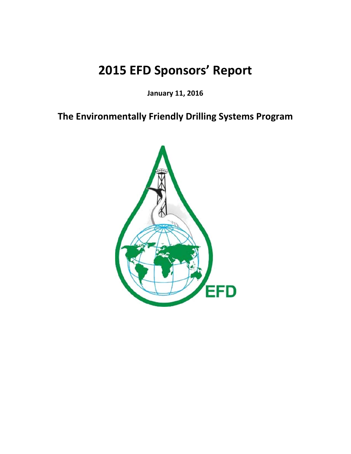# **2015 EFD Sponsors' Report**

**January 11, 2016**

**The Environmentally Friendly Drilling Systems Program**

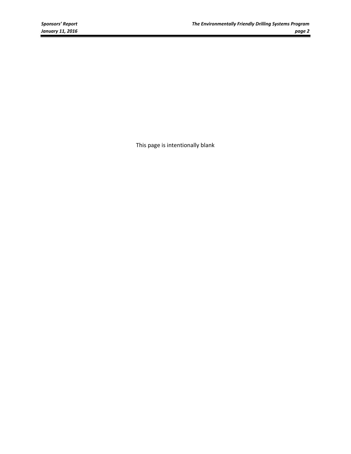This page is intentionally blank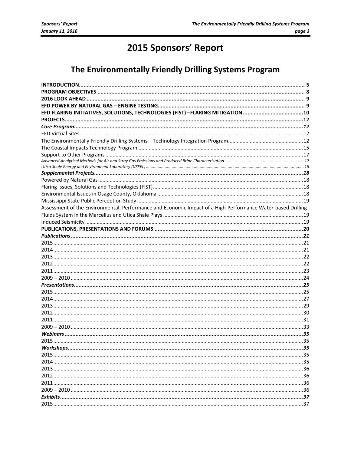# 2015 Sponsors' Report

# The Environmentally Friendly Drilling Systems Program

| EFD FLARING INITIATIVES, SOLUTIONS, TECHNOLOGIES (FIST) -FLARING MITIGATION 10                              |  |
|-------------------------------------------------------------------------------------------------------------|--|
|                                                                                                             |  |
|                                                                                                             |  |
|                                                                                                             |  |
|                                                                                                             |  |
|                                                                                                             |  |
|                                                                                                             |  |
|                                                                                                             |  |
|                                                                                                             |  |
|                                                                                                             |  |
|                                                                                                             |  |
|                                                                                                             |  |
|                                                                                                             |  |
|                                                                                                             |  |
| Assessment of the Environmental, Performance and Economic Impact of a High-Performance Water-based Drilling |  |
|                                                                                                             |  |
|                                                                                                             |  |
|                                                                                                             |  |
|                                                                                                             |  |
|                                                                                                             |  |
|                                                                                                             |  |
|                                                                                                             |  |
|                                                                                                             |  |
|                                                                                                             |  |
|                                                                                                             |  |
|                                                                                                             |  |
|                                                                                                             |  |
|                                                                                                             |  |
|                                                                                                             |  |
|                                                                                                             |  |
|                                                                                                             |  |
|                                                                                                             |  |
|                                                                                                             |  |
|                                                                                                             |  |
|                                                                                                             |  |
|                                                                                                             |  |
|                                                                                                             |  |
|                                                                                                             |  |
|                                                                                                             |  |
|                                                                                                             |  |
|                                                                                                             |  |
|                                                                                                             |  |
|                                                                                                             |  |
|                                                                                                             |  |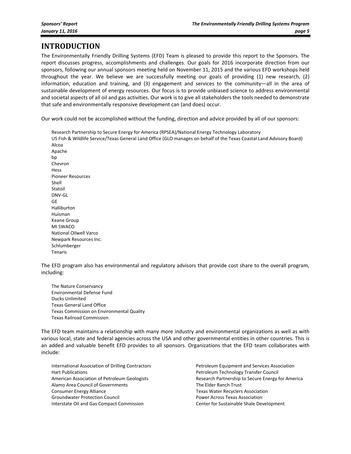# **INTRODUCTION**

The Environmentally Friendly Drilling Systems (EFD) Team is pleased to provide this report to the Sponsors. The report discusses progress, accomplishments and challenges. Our goals for 2016 incorporate direction from our sponsors, following our annual sponsors meeting held on November 11, 2015 and the various EFD workshops held throughout the year. We believe we are successfully meeting our goals of providing (1) new research, (2) information, education and training, and (3) engagement and services to the community—all in the area of sustainable development of energy resources. Our focus is to provide unbiased science to address environmental and societal aspects of all oil and gas activities. Our work is to give all stakeholders the tools needed to demonstrate that safe and environmentally responsive development can (and does) occur.

Our work could not be accomplished without the funding, direction and advice provided by all of our sponsors:

Research Partnership to Secure Energy for America (RPSEA)/National Energy Technology Laboratory US Fish & Wildlife Service/Texas General Land Office (GLO manages on behalf of the Texas Coastal Land Advisory Board) Alcoa Apache bp Chevron Hess Pioneer Resources Shell Statoil DNV‐GL GE Halliburton Huisman Keane Group MI SWACO National Oilwell Varco Newpark Resources Inc. Schlumberger Tenaris

The EFD program also has environmental and regulatory advisors that provide cost share to the overall program, including:

The Nature Conservancy Environmental Defense Fund Ducks Unlimited Texas General Land Office Texas Commission on Environmental Quality Texas Railroad Commission

The EFD team maintains a relationship with many more industry and environmental organizations as well as with various local, state and federal agencies across the USA and other governmental entities in other countries. This is an added and valuable benefit EFD provides to all sponsors. Organizations that the EFD team collaborates with include:

| International Association of Drilling Contractors | Petroleum Equipment and Services Association      |
|---------------------------------------------------|---------------------------------------------------|
| <b>Hart Publications</b>                          | Petroleum Technology Transfer Council             |
| American Association of Petroleum Geologists      | Research Partnership to Secure Energy for America |
| Alamo Area Council of Governments                 | The Elder Ranch Trust                             |
| <b>Consumer Energy Alliance</b>                   | <b>Texas Water Recyclers Association</b>          |
| <b>Groundwater Protection Council</b>             | <b>Power Across Texas Association</b>             |
| Interstate Oil and Gas Compact Commission         | Center for Sustainable Shale Development          |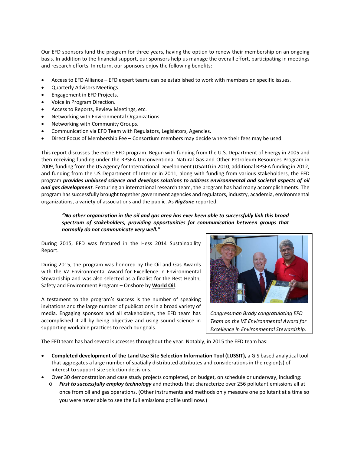Our EFD sponsors fund the program for three years, having the option to renew their membership on an ongoing basis. In addition to the financial support, our sponsors help us manage the overall effort, participating in meetings and research efforts. In return, our sponsors enjoy the following benefits:

- Access to EFD Alliance EFD expert teams can be established to work with members on specific issues.
- Quarterly Advisors Meetings.
- Engagement in EFD Projects.
- Voice in Program Direction.
- Access to Reports, Review Meetings, etc.
- Networking with Environmental Organizations.
- Networking with Community Groups.
- Communication via EFD Team with Regulators, Legislators, Agencies.
- Direct Focus of Membership Fee Consortium members may decide where their fees may be used.

This report discusses the entire EFD program. Begun with funding from the U.S. Department of Energy in 2005 and then receiving funding under the RPSEA Unconventional Natural Gas and Other Petroleum Resources Program in 2009, funding from the US Agency for International Development (USAID) in 2010, additional RPSEA funding in 2012, and funding from the US Department of Interior in 2011, along with funding from various stakeholders, the EFD program *provides unbiased science and develops solutions to address environmental and societal aspects of oil and gas development*. Featuring an international research team, the program has had many accomplishments. The program has successfully brought together government agencies and regulators, industry, academia, environmental organizations, a variety of associations and the public. As *RigZone* reported,

# *"No other organization in the oil and gas area has ever been able to successfully link this broad spectrum of stakeholders, providing opportunities for communication between groups that normally do not communicate very well."*

During 2015, EFD was featured in the Hess 2014 Sustainability Report.

During 2015, the program was honored by the Oil and Gas Awards with the VZ Environmental Award for Excellence in Environmental Stewardship and was also selected as a finalist for the Best Health, Safety and Environment Program – Onshore by **World Oil**.

A testament to the program's success is the number of speaking invitations and the large number of publications in a broad variety of media. Engaging sponsors and all stakeholders, the EFD team has accomplished it all by being objective and using sound science in supporting workable practices to reach our goals.



*Congressman Brady congratulating EFD Team on the VZ Environmental Award for Excellence in Environmental Stewardship.*

The EFD team has had several successes throughout the year. Notably, in 2015 the EFD team has:

- **Completed development of the Land Use Site Selection Information Tool (LUSSIT),** a GIS based analytical tool that aggregates a large number of spatially distributed attributes and considerations in the region(s) of interest to support site selection decisions.
- Over 30 demonstration and case study projects completed, on budget, on schedule or underway, including:
	- o *First to successfully employ technology* and methods that characterize over 256 pollutant emissions all at once from oil and gas operations. (Other instruments and methods only measure one pollutant at a time so you were never able to see the full emissions profile until now.)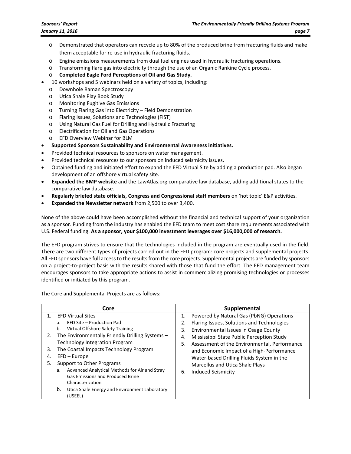- o Demonstrated that operators can recycle up to 80% of the produced brine from fracturing fluids and make them acceptable for re‐use in hydraulic fracturing fluids.
- o Engine emissions measurements from dual fuel engines used in hydraulic fracturing operations.
- o Transforming flare gas into electricity through the use of an Organic Rankine Cycle process.
- o **Completed Eagle Ford Perceptions of Oil and Gas Study.**
- 10 workshops and 5 webinars held on a variety of topics, including:
- o Downhole Raman Spectroscopy
- o Utica Shale Play Book Study
- o Monitoring Fugitive Gas Emissions
- o Turning Flaring Gas into Electricity Field Demonstration
- o Flaring Issues, Solutions and Technologies (FIST)
- o Using Natural Gas Fuel for Drilling and Hydraulic Fracturing
- o Electrification for OiI and Gas Operations
- o EFD Overview Webinar for BLM
- **Supported Sponsors Sustainability and Environmental Awareness initiatives.**
- Provided technical resources to sponsors on water management.
- Provided technical resources to our sponsors on induced seismicity issues.
- Obtained funding and initiated effort to expand the EFD Virtual Site by adding a production pad. Also began development of an offshore virtual safety site.
- **Expanded the BMP website** and the LawAtlas.org comparative law database, adding additional states to the comparative law database.
- **Regularly briefed state officials, Congress and Congressional staff members** on 'hot topic' E&P activities.
- **Expanded the Newsletter network** from 2,500 to over 3,400.

None of the above could have been accomplished without the financial and technical support of your organization as a sponsor. Funding from the industry has enabled the EFD team to meet cost share requirements associated with U.S. Federal funding. **As a sponsor, your \$100,000 investment leverages over \$16,000,000 of research.**

The EFD program strives to ensure that the technologies included in the program are eventually used in the field. There are two different types of projects carried out in the EFD program: core projects and supplemental projects. All EFD sponsors have full access to the results from the core projects. Supplemental projects are funded by sponsors on a project-to-project basis with the results shared with those that fund the effort. The EFD management team encourages sponsors to take appropriate actions to assist in commercializing promising technologies or processes identified or initiated by this program.

The Core and Supplemental Projects are as follows:

|                                 | Core                                                                                                                                                                                                                                                                                                                                                                                                                                                                                    | Supplemental                                                                                                                                                                                                                                                                                                                                                                                                 |
|---------------------------------|-----------------------------------------------------------------------------------------------------------------------------------------------------------------------------------------------------------------------------------------------------------------------------------------------------------------------------------------------------------------------------------------------------------------------------------------------------------------------------------------|--------------------------------------------------------------------------------------------------------------------------------------------------------------------------------------------------------------------------------------------------------------------------------------------------------------------------------------------------------------------------------------------------------------|
| $1_{-}$<br>2.<br>3.<br>4.<br>5. | <b>EFD Virtual Sites</b><br>EFD Site - Production Pad<br>a <sub>1</sub><br>Virtual Offshore Safety Training<br>b.<br>The Environmentally Friendly Drilling Systems -<br><b>Technology Integration Program</b><br>The Coastal Impacts Technology Program<br>$EFD - Europe$<br>Support to Other Programs<br>Advanced Analytical Methods for Air and Stray<br>a.<br>Gas Emissions and Produced Brine<br>Characterization<br>Utica Shale Energy and Environment Laboratory<br>b.<br>(USEEL) | Powered by Natural Gas (PbNG) Operations<br>Flaring Issues, Solutions and Technologies<br>2.<br>Environmental Issues in Osage County<br>3.<br>Mississippi State Public Perception Study<br>4.<br>Assessment of the Environmental, Performance<br>5.<br>and Economic Impact of a High-Performance<br>Water-based Drilling Fluids System in the<br>Marcellus and Utica Shale Plays<br>Induced Seismicity<br>6. |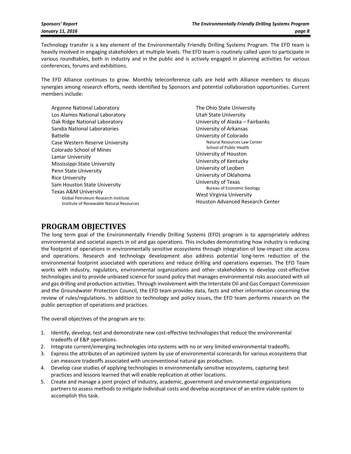Technology transfer is a key element of the Environmentally Friendly Drilling Systems Program. The EFD team is heavily involved in engaging stakeholders at multiple levels. The EFD team is routinely called upon to participate in various roundtables, both in industry and in the public and is actively engaged in planning activities for various conferences, forums and exhibitions.

The EFD Alliance continues to grow. Monthly teleconference calls are held with Alliance members to discuss synergies among research efforts, needs identified by Sponsors and potential collaboration opportunities. Current members include:

Argonne National Laboratory Los Alamos National Laboratory Oak Ridge National Laboratory Sandia National Laboratories Battelle Case Western Reserve University Colorado School of Mines Lamar University Mississippi State University Penn State University Rice University Sam Houston State University Texas A&M University Global Petroleum Research Institute Institute of Renewable Natural Resources The Ohio State University Utah State University University of Alaska – Fairbanks University of Arkansas University of Colorado Natural Resources Law Center School of Public Health University of Houston University of Kentucky University of Leoben University of Oklahoma University of Texas Bureau of Economic Geology West Virginia University Houston Advanced Research Center

# **PROGRAM OBJECTIVES**

The long term goal of the Environmentally Friendly Drilling Systems (EFD) program is to appropriately address environmental and societal aspects in oil and gas operations. This includes demonstrating how industry is reducing the footprint of operations in environmentally sensitive ecosystems through integration of low‐impact site access and operations. Research and technology development also address potential long-term reduction of the environmental footprint associated with operations and reduce drilling and operations expenses. The EFD Team works with industry, regulators, environmental organizations and other stakeholders to develop cost‐effective technologies and to provide unbiased science for sound policy that manages environmental risks associated with oil and gas drilling and production activities. Through involvement with the Interstate Oil and Gas Compact Commission and the Groundwater Protection Council, the EFD team provides data, facts and other information concerning the review of rules/regulations. In addition to technology and policy issues, the EFD team performs research on the public perception of operations and practices.

The overall objectives of the program are to:

- 1. Identify, develop, test and demonstrate new cost‐effective technologies that reduce the environmental tradeoffs of E&P operations.
- 2. Integrate current/emerging technologies into systems with no or very limited environmental tradeoffs.
- 3. Express the attributes of an optimized system by use of environmental scorecards for various ecosystems that can measure tradeoffs associated with unconventional natural gas production.
- 4. Develop case studies of applying technologies in environmentally sensitive ecosystems, capturing best practices and lessons learned that will enable replication at other locations.
- 5. Create and manage a joint project of industry, academic, government and environmental organizations partners to assess methods to mitigate individual costs and develop acceptance of an entire viable system to accomplish this task.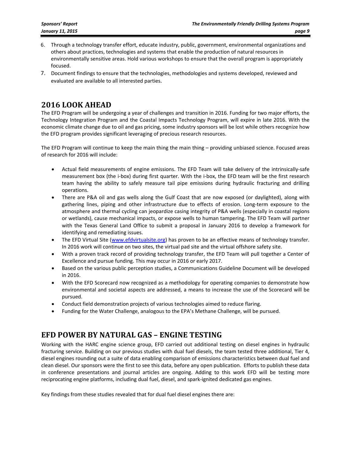- 6. Through a technology transfer effort, educate industry, public, government, environmental organizations and others about practices, technologies and systems that enable the production of natural resources in environmentally sensitive areas. Hold various workshops to ensure that the overall program is appropriately focused.
- 7. Document findings to ensure that the technologies, methodologies and systems developed, reviewed and evaluated are available to all interested parties.

# **2016 LOOK AHEAD**

The EFD Program will be undergoing a year of challenges and transition in 2016. Funding for two major efforts, the Technology Integration Program and the Coastal Impacts Technology Program, will expire in late 2016. With the economic climate change due to oil and gas pricing, some industry sponsors will be lost while others recognize how the EFD program provides significant leveraging of precious research resources.

The EFD Program will continue to keep the main thing the main thing – providing unbiased science. Focused areas of research for 2016 will include:

- Actual field measurements of engine emissions. The EFD Team will take delivery of the intrinsically‐safe measurement box (the i-box) during first quarter. With the i-box, the EFD team will be the first research team having the ability to safely measure tail pipe emissions during hydraulic fracturing and drilling operations.
- There are P&A oil and gas wells along the Gulf Coast that are now exposed (or daylighted), along with gathering lines, piping and other infrastructure due to effects of erosion. Long-term exposure to the atmosphere and thermal cycling can jeopardize casing integrity of P&A wells (especially in coastal regions or wetlands), cause mechanical impacts, or expose wells to human tampering. The EFD Team will partner with the Texas General Land Office to submit a proposal in January 2016 to develop a framework for identifying and remediating issues.
- The EFD Virtual Site (www.efdvirtualsite.org) has proven to be an effective means of technology transfer. In 2016 work will continue on two sites, the virtual pad site and the virtual offshore safety site.
- With a proven track record of providing technology transfer, the EFD Team will pull together a Center of Excellence and pursue funding. This may occur in 2016 or early 2017.
- Based on the various public perception studies, a Communications Guideline Document will be developed in 2016.
- With the EFD Scorecard now recognized as a methodology for operating companies to demonstrate how environmental and societal aspects are addressed, a means to increase the use of the Scorecard will be pursued.
- Conduct field demonstration projects of various technologies aimed to reduce flaring.
- Funding for the Water Challenge, analogous to the EPA's Methane Challenge, will be pursued.

# **EFD POWER BY NATURAL GAS – ENGINE TESTING**

Working with the HARC engine science group, EFD carried out additional testing on diesel engines in hydraulic fracturing service. Building on our previous studies with dual fuel diesels, the team tested three additional, Tier 4, diesel engines rounding out a suite of data enabling comparison of emissions characteristics between dual fuel and clean diesel. Our sponsors were the first to see this data, before any open publication. Efforts to publish these data in conference presentations and journal articles are ongoing. Adding to this work EFD will be testing more reciprocating engine platforms, including dual fuel, diesel, and spark‐ignited dedicated gas engines.

Key findings from these studies revealed that for dual fuel diesel engines there are: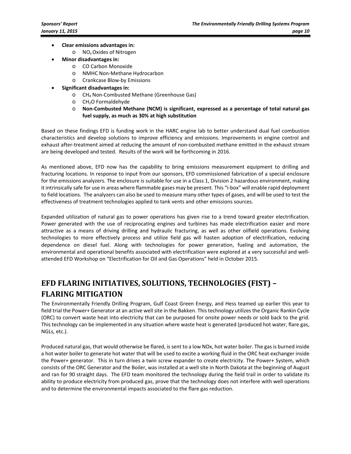- **Clear emissions advantages in:**
	- $\circ$  NO<sub>x</sub> Oxides of Nitrogen
- **Minor disadvantages in:**
	- o CO Carbon Monoxide
	- o NMHC Non‐Methane Hydrocarbon
	- o Crankcase Blow‐by Emissions
- **Significant disadvantages in:**
	- o CH4 Non‐Combusted Methane (Greenhouse Gas)
	- o CH2O Formaldehyde
	- o **Non‐Combusted Methane (NCM) is significant, expressed as a percentage of total natural gas fuel supply, as much as 30% at high substitution**

Based on these findings EFD is funding work in the HARC engine lab to better understand dual fuel combustion characteristics and develop solutions to improve efficiency and emissions. Improvements in engine control and exhaust after-treatment aimed at reducing the amount of non-combusted methane emitted in the exhaust stream are being developed and tested. Results of the work will be forthcoming in 2016.

As mentioned above, EFD now has the capability to bring emissions measurement equipment to drilling and fracturing locations. In response to input from our sponsors, EFD commissioned fabrication of a special enclosure for the emissions analyzers. The enclosure is suitable for use in a Class 1, Division 2 hazardous environment, making it intrinsically safe for use in areas where flammable gases may be present. This "i‐box" will enable rapid deployment to field locations. The analyzers can also be used to measure many other types of gases, and will be used to test the effectiveness of treatment technologies applied to tank vents and other emissions sources.

Expanded utilization of natural gas to power operations has given rise to a trend toward greater electrification. Power generated with the use of reciprocating engines and turbines has made electrification easier and more attractive as a means of driving drilling and hydraulic fracturing, as well as other oilfield operations. Evolving technologies to more effectively process and utilize field gas will hasten adoption of electrification, reducing dependence on diesel fuel. Along with technologies for power generation, fueling and automation, the environmental and operational benefits associated with electrification were explored at a very successful and wellattended EFD Workshop on "Electrification for Oil and Gas Operations" held in October 2015.

# **EFD FLARING INITIATIVES, SOLUTIONS, TECHNOLOGIES (FIST) – FLARING MITIGATION**

The Environmentally Friendly Drilling Program, Gulf Coast Green Energy, and Hess teamed up earlier this year to field trial the Power+ Generator at an active well site in the Bakken. This technology utilizes the Organic Rankin Cycle (ORC) to convert waste heat into electricity that can be purposed for onsite power needs or sold back to the grid. This technology can be implemented in any situation where waste heat is generated (produced hot water, flare gas, NGLs, etc.).

Produced natural gas, that would otherwise be flared, is sent to a low NOx, hot water boiler. The gas is burned inside a hot water boiler to generate hot water that will be used to excite a working fluid in the ORC heat exchanger inside the Power+ generator. This in turn drives a twin screw expander to create electricity. The Power+ System, which consists of the ORC Generator and the Boiler, was installed at a well site in North Dakota at the beginning of August and ran for 90 straight days. The EFD team monitored the technology during the field trail in order to validate its ability to produce electricity from produced gas, prove that the technology does not interfere with well operations and to determine the environmental impacts associated to the flare gas reduction.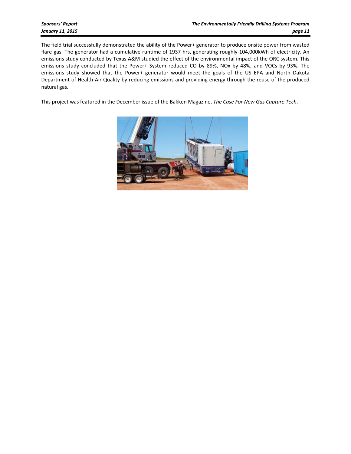The field trial successfully demonstrated the ability of the Power+ generator to produce onsite power from wasted flare gas. The generator had a cumulative runtime of 1937 hrs, generating roughly 104,000kWh of electricity. An emissions study conducted by Texas A&M studied the effect of the environmental impact of the ORC system. This emissions study concluded that the Power+ System reduced CO by 89%, NOx by 48%, and VOCs by 93%. The emissions study showed that the Power+ generator would meet the goals of the US EPA and North Dakota Department of Health‐Air Quality by reducing emissions and providing energy through the reuse of the produced natural gas.

This project was featured in the December issue of the Bakken Magazine, *The Case For New Gas Capture Tech*.

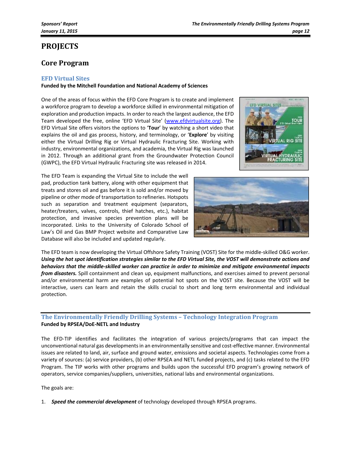# **PROJECTS**

# **Core Program**

# **EFD Virtual Sites**

#### **Funded by the Mitchell Foundation and National Academy of Sciences**

One of the areas of focus within the EFD Core Program is to create and implement a workforce program to develop a workforce skilled in environmental mitigation of exploration and production impacts. In order to reach the largest audience, the EFD Team developed the free, online 'EFD Virtual Site' (www.efdvirtualsite.org). The EFD Virtual Site offers visitors the options to '**Tour**' by watching a short video that explains the oil and gas process, history, and terminology, or '**Explore**' by visiting either the Virtual Drilling Rig or Virtual Hydraulic Fracturing Site. Working with industry, environmental organizations, and academia, the Virtual Rig was launched in 2012. Through an additional grant from the Groundwater Protection Council (GWPC), the EFD Virtual Hydraulic Fracturing site was released in 2014.



The EFD Team is expanding the Virtual Site to include the well pad, production tank battery, along with other equipment that treats and stores oil and gas before it is sold and/or moved by pipeline or other mode of transportation to refineries. Hotspots such as separation and treatment equipment (separators, heater/treaters, valves, controls, thief hatches, etc.), habitat protection, and invasive species prevention plans will be incorporated. Links to the University of Colorado School of Law's Oil and Gas BMP Project website and Comparative Law Database will also be included and updated regularly.



The EFD team is now developing the Virtual Offshore Safety Training (VOST) Site for the middle‐skilled O&G worker. Using the hot spot identification strategies similar to the EFD Virtual Site, the VOST will demonstrate actions and behaviors that the middle-skilled worker can practice in order to minimize and mitigate environmental impacts *from disasters.* Spill containment and clean up, equipment malfunctions, and exercises aimed to prevent personal and/or environmental harm are examples of potential hot spots on the VOST site. Because the VOST will be interactive, users can learn and retain the skills crucial to short and long term environmental and individual protection.

# **The Environmentally Friendly Drilling Systems – Technology Integration Program Funded by RPSEA/DoE‐NETL and Industry**

The EFD‐TIP identifies and facilitates the integration of various projects/programs that can impact the unconventional natural gas developmentsin an environmentally sensitive and cost‐effective manner. Environmental issues are related to land, air, surface and ground water, emissions and societal aspects. Technologies come from a variety of sources: (a) service providers, (b) other RPSEA and NETL funded projects, and (c) tasks related to the EFD Program. The TIP works with other programs and builds upon the successful EFD program's growing network of operators, service companies/suppliers, universities, national labs and environmental organizations.

The goals are:

1. *Speed the commercial development* of technology developed through RPSEA programs.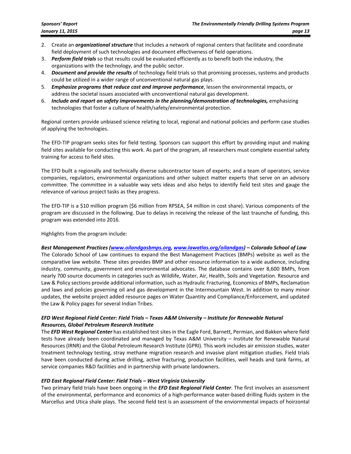- 2. Create an *organizational structure* that includes a network of regional centers that facilitate and coordinate field deployment of such technologies and document effectiveness of field operations.
- 3. *Perform field trials* so that results could be evaluated efficiently as to benefit both the industry, the organizations with the technology, and the public sector.
- 4. *Document and provide the results* of technology field trials so that promising processes, systems and products could be utilized in a wider range of unconventional natural gas plays.
- 5. *Emphasize programs that reduce cost and improve performance*, lessen the environmental impacts, or address the societal issues associated with unconventional natural gas development.
- 6. *Include and report on safety improvements in the planning/demonstration of technologies,* emphasizing technologies that foster a culture of health/safety/environmental protection.

Regional centers provide unbiased science relating to local, regional and national policies and perform case studies of applying the technologies.

The EFD-TIP program seeks sites for field testing. Sponsors can support this effort by providing input and making field sites available for conducting this work. As part of the program, all researchers must complete essential safety training for access to field sites.

The EFD built a regionally and technically diverse subcontractor team of experts; and a team of operators, service companies, regulators, environmental organizations and other subject matter experts that serve on an advisory committee. The committee in a valuable way vets ideas and also helps to identify field test sites and gauge the relevance of various project tasks as they progress.

The EFD-TIP is a \$10 million program (\$6 million from RPSEA, \$4 million in cost share). Various components of the program are discussed in the following. Due to delays in receiving the release of the last traunche of funding, this program was extended into 2016.

Highlights from the program include:

#### *Best Management Practices (www.oilandgasbmps.org, www.lawatlas.org/oilandgas) – Colorado School of Law*

The Colorado School of Law continues to expand the Best Management Practices (BMPs) website as well as the comparative law website. These sites provides BMP and other resource information to a wide audience, including industry, community, government and environmental advocates. The database contains over 8,600 BMPs, from nearly 700 source documents in categories such as Wildlife, Water, Air, Health, Soils and Vegetation. Resource and Law & Policy sections provide additional information, such as Hydraulic Fracturing, Economics of BMPs, Reclamation and laws and policies governing oil and gas development in the Intermountain West. In addition to many minor updates, the website project added resource pages on Water Quantity and Compliance/Enforcement, and updated the Law & Policy pages for several Indian Tribes.

# *EFD West Regional Field Center: Field Trials – Texas A&M University – Institute for Renewable Natural Resources, Global Petroleum Research Institute*

The *EFD West Regional Center* has established test sites in the Eagle Ford, Barnett, Permian, and Bakken where field tests have already been coordinated and managed by Texas A&M University – Institute for Renewable Natural Resources (IRNR) and the Global Petroleum Research Institute (GPRI). This work includes air emission studies, water treatment technology testing, stray methane migration research and invasive plant mitigation studies. Field trials have been conducted during active drilling, active fracturing, production facilities, well heads and tank farms, at service companies R&D facilities and in partnership with private landowners.

#### *EFD East Regional Field Center: Field Trials – West Virginia University*

Two primary field trials have been ongoing in the *EFD East Regional Field Center*. The first involves an assessment of the environmental, performance and economics of a high‐performance water‐based drilling fluids system in the Marcellus and Utica shale plays. The second field test is an assessment of the enviornmental impacts of hoirzontal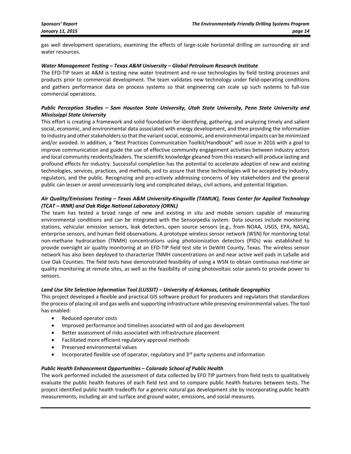gas well development operations, examining the effects of large‐scale horizontal drilling on surrounding air and water resources.

#### *Water Management Testing – Texas A&M University – Global Petroleum Research Institute*

The EFD-TIP team at A&M is testing new water treatment and re-use technologies by field testing processes and products prior to commercial development. The team validates new technology under field‐operating conditions and gathers performance data on process systems so that engineering can scale up such systems to full-size commercial operations.

# *Public Perception Studies – Sam Houston State University, Utah State University, Penn State University and Mississippi State University*

This effort is creating a framework and solid foundation for identifying, gathering, and analyzing timely and salient social, economic, and environmental data associated with energy development, and then providing the information to industry and other stakeholders so that the variant social, economic, and environmental impacts can be minimized and/or avoided. In addition, a "Best Practices Communication Toolkit/Handbook" will issue in 2016 with a goal to improve communication and guide the use of effective community engagement activities between industry actors and local community residents/leaders. The scientific knowledge gleaned from thisresearch will produce lasting and profound effects for industry. Successful completion has the potential to accelerate adoption of new and existing technologies, services, practices, and methods, and to assure that these technologies will be accepted by industry, regulators, and the public. Recognizing and pro‐actively addressing concerns of key stakeholders and the general public can lessen or avoid unnecessarily long and complicated delays, civil actions, and potential litigation.

# *Air Quality/Emissions Testing – Texas A&M University‐Kingsville (TAMUK), Texas Center for Applied Technology (TCAT – IRNR) and Oak Ridge National Laboratory (ORNL)*

The team has tested a broad range of new and existing *in situ* and mobile sensors capable of measuring environmental conditions and can be integrated with the Sensorpedia system. Data sources include monitoring stations, vehicular emission sensors, leak detectors, open source sensors (e.g., from NOAA, USGS, EPA, NASA), enterprise sensors, and human field observations. A prototype wireless sensor network (WSN) for monitoring total non‐methane hydrocarbon (TNMH) concentrations using photoionization detectors (PIDs) was established to provide oversight air quality monitoring at an EFD‐TIP field test site in DeWitt County, Texas. The wireless sensor network has also been deployed to characterize TNMH concentrations on and near active well pads in LaSalle and Live Oak Counties. The field tests have demonstrated feasibility of using a WSN to obtain continuous real‐time air quality monitoring at remote sites, as well as the feasibility of using photovoltaic solar panels to provide power to sensors.

# *Land Use Site Selection Information Tool (LUSSIT) – University of Arkansas, Latitude Geographics*

This project developed a flexible and practical GIS software product for producers and regulators that standardizes the process of placing oil and gas wells and supporting infrastructure while preseving environmental values. The tool has enabled:

- Reduced operator costs
- Improved performance and timelines associated with oil and gas development
- Better assessment of risks associated with infrastructure placement
- Facilitated more efficient regulatory approval methods
- **•** Preserved environmental values
- **Incorporated flexible use of operator, regulatory and 3<sup>rd</sup> party systems and information**

#### *Public Health Enhancement Opportunities – Colorado School of Public Health*

The work performed included the assessment of data collected by EFD TIP partners from field tests to qualitatively evaluate the public health features of each field test and to compare public health features between tests. The project identified public health tradeoffs for a generic natural gas development site by incorporating public health measurements, including air and surface and ground water, emissions, and social measures.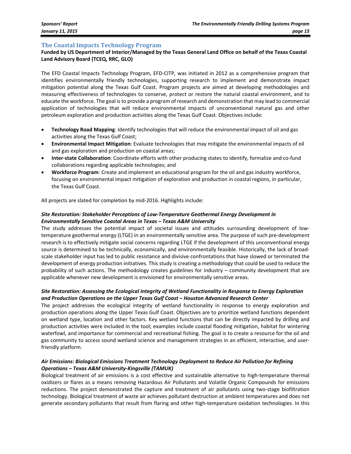# **The Coastal Impacts Technology Program**

# Funded by US Department of Interior/Managed by the Texas General Land Office on behalf of the Texas Coastal **Land Advisory Board (TCEQ, RRC, GLO)**

The EFD Coastal Impacts Technology Program, EFD‐CITP, was initiated in 2012 as a comprehensive program that identifies environmentally friendly technologies, supporting research to implement and demonstrate impact mitigation potential along the Texas Gulf Coast. Program projects are aimed at developing methodologies and measuring effectiveness of technologies to conserve, protect or restore the natural coastal environment, and to educate the workforce. The goal isto provide a program of research and demonstration that may lead to commercial application of technologies that will reduce environmental impacts of unconventional natural gas and other petroleum exploration and production activities along the Texas Gulf Coast. Objectives include:

- **Technology Road Mapping**: Identify technologies that will reduce the environmental impact of oil and gas activities along the Texas Gulf Coast;
- **Environmental Impact Mitigation**: Evaluate technologies that may mitigate the environmental impacts of oil and gas exploration and production on coastal areas;
- **Inter‐state Collaboration**: Coordinate efforts with other producing states to identify, formalize and co‐fund collaborations regarding applicable technologies; and
- **Workforce Program**: Create and implement an educational program for the oil and gas industry workforce, focusing on environmental impact mitigation of exploration and production in coastal regions, in particular, the Texas Gulf Coast.

All projects are slated for completion by mid‐2016. Highlights include:

# *Site Restoration: Stakeholder Perceptions of Low‐Temperature Geothermal Energy Development in Environmentally Sensitive Coastal Areas in Texas – Texas A&M University*

The study addresses the potential impact of societal issues and attitudes surrounding development of low‐ temperature geothermal energy (LTGE) in an environmentally sensitive area. The purpose of such pre‐development research is to effectively mitigate social concerns regarding LTGE if the development of this unconventional energy source is determined to be technically, economically, and environmentally feasible. Historically, the lack of broadscale stakeholder input has led to public resistance and divisive confrontations that have slowed or terminated the development of energy production initiatives. This study is creating a methodology that could be used to reduce the probability of such actions. The methodology creates guidelines for industry – community development that are applicable whenever new development is envisioned for environmentally sensitive areas.

# *Site Restoration: Assessing the Ecological Integrity of Wetland Functionality in Response to Energy Exploration and Production Operations on the Upper Texas Gulf Coast – Houston Advanced Research Center*

The project addresses the ecological integrity of wetland functionality in response to energy exploration and production operations along the Upper Texas Gulf Coast. Objectives are to prioritize wetland functions dependent on wetland type, location and other factors. Key wetland functions that can be directly impacted by drilling and production activities were included in the tool; examples include coastal flooding mitigation, habitat for wintering waterfowl, and importance for commercial and recreational fishing. The goal is to create a resource for the oil and gas community to access sound wetland science and management strategies in an efficient, interactive, and userfriendly platform.

# *Air Emissions: Biological Emissions Treatment Technology Deployment to Reduce Air Pollution for Refining Operations – Texas A&M University‐Kingsville (TAMUK)*

Biological treatment of air emissions is a cost effective and sustainable alternative to high‐temperature thermal oxidizers or flares as a means removing Hazardous Air Pollutants and Volatile Organic Compounds for emissions reductions. The project demonstrated the capture and treatment of air pollutants using two‐stage biofiltration technology. Biological treatment of waste air achieves pollutant destruction at ambient temperatures and does not generate secondary pollutants that result from flaring and other high‐temperature oxidation technologies. In this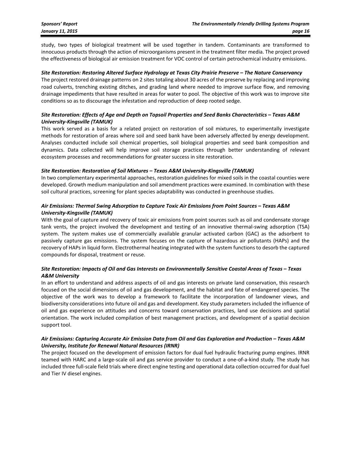study, two types of biological treatment will be used together in tandem. Contaminants are transformed to innocuous products through the action of microorganisms present in the treatment filter media. The project proved the effectiveness of biological air emission treatment for VOC control of certain petrochemical industry emissions.

#### *Site Restoration: Restoring Altered Surface Hydrology at Texas City Prairie Preserve – The Nature Conservancy*

The project restored drainage patterns on 2 sites totaling about 30 acres of the preserve by replacing and improving road culverts, trenching existing ditches, and grading land where needed to improve surface flow, and removing drainage impediments that have resulted in areas for water to pool. The objective of this work was to improve site conditions so as to discourage the infestation and reproduction of deep rooted sedge.

# Site Restoration: Effects of Age and Depth on Topsoil Properties and Seed Banks Characteristics - Texas A&M *University‐Kingsville (TAMUK)*

This work served as a basis for a related project on restoration of soil mixtures, to experimentally investigate methods for restoration of areas where soil and seed bank have been adversely affected by energy development. Analyses conducted include soil chemical properties, soil biological properties and seed bank composition and dynamics. Data collected will help improve soil storage practices through better understanding of relevant ecosystem processes and recommendations for greater success in site restoration.

#### *Site Restoration: Restoration of Soil Mixtures – Texas A&M University‐Kingsville (TAMUK)*

In two complementary experimental approaches, restoration guidelines for mixed soils in the coastal counties were developed. Growth medium manipulation and soil amendment practices were examined. In combination with these soil cultural practices, screening for plant species adaptability was conducted in greenhouse studies.

# *Air Emissions: Thermal Swing Adsorption to Capture Toxic Air Emissions from Point Sources – Texas A&M University‐Kingsville (TAMUK)*

With the goal of capture and recovery of toxic air emissions from point sources such as oil and condensate storage tank vents, the project involved the development and testing of an innovative thermal‐swing adsorption (TSA) system. The system makes use of commercially available granular activated carbon (GAC) as the adsorbent to passively capture gas emissions. The system focuses on the capture of hazardous air pollutants (HAPs) and the recovery of HAPs in liquid form. Electrothermal heating integrated with the system functions to desorb the captured compounds for disposal, treatment or reuse.

# Site Restoration: Impacts of Oil and Gas Interests on Environmentally Sensitive Coastal Areas of Texas - Texas *A&M University*

In an effort to understand and address aspects of oil and gas interests on private land conservation, this research focused on the social dimensions of oil and gas development, and the habitat and fate of endangered species. The objective of the work was to develop a framework to facilitate the incorporation of landowner views, and biodiversity considerations into future oil and gas and development. Key study parameters included the influence of oil and gas experience on attitudes and concerns toward conservation practices, land use decisions and spatial orientation. The work included compilation of best management practices, and development of a spatial decision support tool.

# Air Emissions: Capturing Accurate Air Emission Data from Oil and Gas Exploration and Production - Texas A&M *University, Institute for Renewal Natural Resources (IRNR)*

The project focused on the development of emission factors for dual fuel hydraulic fracturing pump engines. IRNR teamed with HARC and a large‐scale oil and gas service provider to conduct a one‐of‐a‐kind study. The study has included three full‐scale field trials where direct engine testing and operational data collection occurred for dual fuel and Tier IV diesel engines.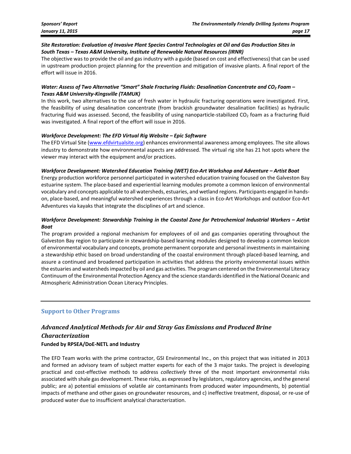# *Site Restoration: Evaluation of Invasive Plant Species Control Technologies at Oil and Gas Production Sites in South Texas – Texas A&M University, Institute of Renewable Natural Resources (IRNR)*

The objective was to provide the oil and gas industry with a guide (based on cost and effectiveness) that can be used in upstream production project planning for the prevention and mitigation of invasive plants. A final report of the effort will issue in 2016.

# *Water: Assess of Two Alternative "Smart" Shale Fracturing Fluids: Desalination Concentrate and CO2 Foam – Texas A&M University‐Kingsville (TAMUK)*

In this work, two alternatives to the use of fresh water in hydraulic fracturing operations were investigated. First, the feasibility of using desalination concentrate (from brackish groundwater desalination facilities) as hydraulic fracturing fluid was assessed. Second, the feasibility of using nanoparticle-stabilized  $CO<sub>2</sub>$  foam as a fracturing fluid was investigated. A final report of the effort will issue in 2016.

# *Workforce Development: The EFD Virtual Rig Website – Epic Software*

The EFD Virtual Site (www.efdvirtualsite.org) enhances environmental awareness among employees. The site allows industry to demonstrate how environmental aspects are addressed. The virtual rig site has 21 hot spots where the viewer may interact with the equipment and/or practices.

#### *Workforce Development: Watershed Education Training (WET) Eco‐Art Workshop and Adventure – Artist Boat*

Energy production workforce personnel participated in watershed education training focused on the Galveston Bay estuarine system. The place‐based and experiential learning modules promote a common lexicon of environmental vocabulary and concepts applicable to all watersheds, estuaries, and wetland regions. Participants engaged in hands‐ on, place‐based, and meaningful watershed experiences through a class in Eco‐Art Workshops and outdoor Eco‐Art Adventures via kayaks that integrate the disciplines of art and science.

# *Workforce Development: Stewardship Training in the Coastal Zone for Petrochemical Industrial Workers – Artist Boat*

The program provided a regional mechanism for employees of oil and gas companies operating throughout the Galveston Bay region to participate in stewardship‐based learning modules designed to develop a common lexicon of environmental vocabulary and concepts, promote permanent corporate and personal investments in maintaining a stewardship ethic based on broad understanding of the coastal environment through placed‐based learning, and assure a continued and broadened participation in activities that address the priority environmental issues within the estuaries and watershedsimpacted by oil and gas activities. The program centered on the Environmental Literacy Continuum of the Environmental Protection Agency and the science standardsidentified in the National Oceanic and Atmospheric Administration Ocean Literacy Principles.

# **Support to Other Programs**

# *Advanced Analytical Methods for Air and Stray Gas Emissions and Produced Brine*

# *Characterization*

# **Funded by RPSEA/DoE‐NETL and Industry**

The EFD Team works with the prime contractor, GSI Environmental Inc., on this project that was initiated in 2013 and formed an advisory team of subject matter experts for each of the 3 major tasks. The project is developing practical and cost‐effective methods to address *collectively* three of the most important environmental risks associated with shale gas development. These risks, as expressed by legislators, regulatory agencies, and the general public; are a) potential emissions of volatile air contaminants from produced water impoundments, b) potential impacts of methane and other gases on groundwater resources, and c) ineffective treatment, disposal, or re-use of produced water due to insufficient analytical characterization.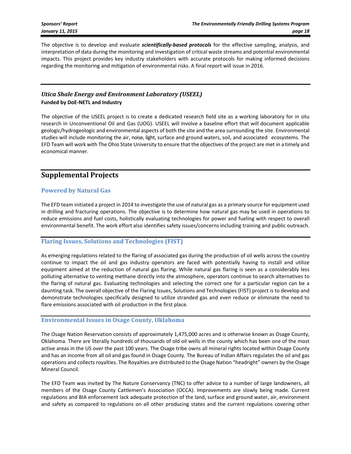The objective is to develop and evaluate *scientifically‐based protocols* for the effective sampling, analysis, and interpretation of data during the monitoring and investigation of critical waste streams and potential environmental impacts. This project provides key industry stakeholders with accurate protocols for making informed decisions regarding the monitoring and mitigation of environmental risks. A final report will issue in 2016.

# *Utica Shale Energy and Environment Laboratory (USEEL)* **Funded by DoE‐NETL and Industry**

The objective of the USEEL project is to create a dedicated research field site as a working laboratory for in situ research in Unconventional Oil and Gas (UOG). USEEL will involve a baseline effort that will document applicable geologic/hydrogeologic and environmental aspects of both the site and the area surrounding the site. Environmental studies will include monitoring the air, noise, light, surface and ground waters, soil, and associated ecosystems. The EFD Team will work with The Ohio State University to ensure that the objectives of the project are met in a timely and economical manner.

# **Supplemental Projects**

# **Powered by Natural Gas**

The EFD team initiated a project in 2014 to investigate the use of natural gas as a primary source for equipment used in drilling and fracturing operations. The objective is to determine how natural gas may be used in operations to reduce emissions and fuel costs, holistically evaluating technologies for power and fueling with respect to overall environmental benefit. The work effort also identifies safety issues/concerns including training and public outreach.

# **Flaring Issues, Solutions and Technologies (FIST)**

As emerging regulations related to the flaring of associated gas during the production of oil wells across the country continue to impact the oil and gas industry operators are faced with potentially having to install and utilize equipment aimed at the reduction of natural gas flaring. While natural gas flaring is seen as a considerably less polluting alternative to venting methane directly into the atmosphere, operators continue to search alternatives to the flaring of natural gas. Evaluating technologies and selecting the correct one for a particular region can be a daunting task. The overall objective of the Flaring Issues, Solutions and Technologies (FIST) project is to develop and demonstrate technologies specifically designed to utilize stranded gas and even reduce or eliminate the need to flare emissions associated with oil production in the first place.

# **Environmental Issues in Osage County, Oklahoma**

The Osage Nation Reservation consists of approximately 1,475,000 acres and is otherwise known as Osage County, Oklahoma. There are literally hundreds of thousands of old oil wells in the county which has been one of the most active areas in the US over the past 100 years. The Osage tribe owns all mineral rights located within Osage County and has an income from all oil and gas found in Osage County. The Bureau of Indian Affairs regulates the oil and gas operations and collectsroyalties. The Royalties are distributed to the Osage Nation "headright" owners by the Osage Mineral Council.

The EFD Team was invited by The Nature Conservancy (TNC) to offer advice to a number of large landowners, all members of the Osage County Cattlemen's Association (OCCA). Improvements are slowly being made. Current regulations and BIA enforcement lack adequate protection of the land, surface and ground water, air, environment and safety as compared to regulations on all other producing states and the current regulations covering other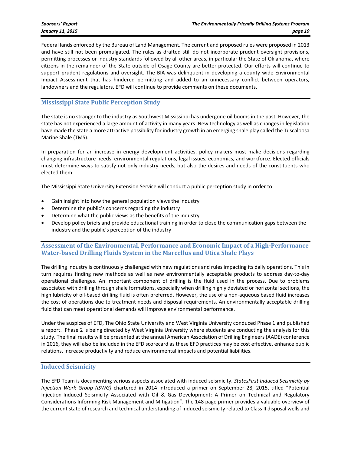Federal lands enforced by the Bureau of Land Management. The current and proposed rules were proposed in 2013 and have still not been promulgated. The rules as drafted still do not incorporate prudent oversight provisions, permitting processes or industry standards followed by all other areas, in particular the State of Oklahoma, where citizens in the remainder of the State outside of Osage County are better protected. Our efforts will continue to support prudent regulations and oversight. The BIA was delinquent in developing a county wide Environmental Impact Assessment that has hindered permitting and added to an unnecessary conflict between operators, landowners and the regulators. EFD will continue to provide comments on these documents.

# **Mississippi State Public Perception Study**

The state is no stranger to the industry as Southwest Mississippi has undergone oil booms in the past. However, the state has not experienced a large amount of activity in many years. New technology as well as changes in legislation have made the state a more attractive possibility for industry growth in an emerging shale play called the Tuscaloosa Marine Shale (TMS).

In preparation for an increase in energy development activities, policy makers must make decisions regarding changing infrastructure needs, environmental regulations, legal issues, economics, and workforce. Elected officials must determine ways to satisfy not only industry needs, but also the desires and needs of the constituents who elected them.

The Mississippi State University Extension Service will conduct a public perception study in order to:

- Gain insight into how the general population views the industry
- Determine the public's concerns regarding the industry
- Determine what the public views as the benefits of the industry
- Develop policy briefs and provide educational training in order to close the communication gaps between the industry and the public's perception of the industry

# **Assessment of the Environmental, Performance and Economic Impact of a High‐Performance Water‐based Drilling Fluids System in the Marcellus and Utica Shale Plays**

The drilling industry is continuously challenged with new regulations and rules impacting its daily operations. This in turn requires finding new methods as well as new environmentally acceptable products to address day‐to‐day operational challenges. An important component of drilling is the fluid used in the process. Due to problems associated with drilling through shale formations, especially when drilling highly deviated or horizontal sections, the high lubricity of oil-based drilling fluid is often preferred. However, the use of a non-aqueous based fluid increases the cost of operations due to treatment needs and disposal requirements. An environmentally acceptable drilling fluid that can meet operational demands will improve environmental performance.

Under the auspices of EFD, The Ohio State University and West Virginia University conduced Phase 1 and published a report. Phase 2 is being directed by West Virginia University where students are conducting the analysis for this study. The final results will be presented at the annual American Association of Drilling Engineers (AADE) conference in 2016, they will also be included in the EFD scorecard as these EFD practices may be cost effective, enhance public relations, increase productivity and reduce environmental impacts and potential liabilities.

# **Induced Seismicity**

The EFD Team is documenting various aspects associated with induced seismicity. *StatesFirst Induced Seismicity by Injection Work Group (ISWG)* chartered in 2014 introduced a primer on September 28, 2015, titled "Potential Injection‐Induced Seismicity Associated with Oil & Gas Development: A Primer on Technical and Regulatory Considerations Informing Risk Management and Mitigation". The 148 page primer provides a valuable overview of the current state of research and technical understanding of induced seismicity related to Class II disposal wells and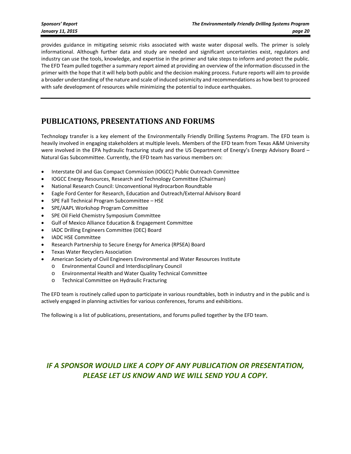provides guidance in mitigating seismic risks associated with waste water disposal wells. The primer is solely informational. Although further data and study are needed and significant uncertainties exist, regulators and industry can use the tools, knowledge, and expertise in the primer and take steps to inform and protect the public. The EFD Team pulled together a summary report aimed at providing an overview of the information discussed in the primer with the hope that it will help both public and the decision making process. Future reports will aim to provide a broader understanding of the nature and scale of induced seismicity and recommendations as how best to proceed with safe development of resources while minimizing the potential to induce earthquakes.

# **PUBLICATIONS, PRESENTATIONS AND FORUMS**

Technology transfer is a key element of the Environmentally Friendly Drilling Systems Program. The EFD team is heavily involved in engaging stakeholders at multiple levels. Members of the EFD team from Texas A&M University were involved in the EPA hydraulic fracturing study and the US Department of Energy's Energy Advisory Board – Natural Gas Subcommittee. Currently, the EFD team has various members on:

- Interstate Oil and Gas Compact Commission (IOGCC) Public Outreach Committee
- IOGCC Energy Resources, Research and Technology Committee (Chairman)
- National Research Council: Unconventional Hydrocarbon Roundtable
- Eagle Ford Center for Research, Education and Outreach/External Advisory Board
- SPE Fall Technical Program Subcommittee HSE
- SPE/AAPL Workshop Program Committee
- SPE Oil Field Chemistry Symposium Committee
- Gulf of Mexico Alliance Education & Engagement Committee
- IADC Drilling Engineers Committee (DEC) Board
- IADC HSE Committee
- Research Partnership to Secure Energy for America (RPSEA) Board
- Texas Water Recyclers Association
- American Society of Civil Engineers Environmental and Water Resources Institute
	- o Environmental Council and Interdisciplinary Council
	- o Environmental Health and Water Quality Technical Committee
	- o Technical Committee on Hydraulic Fracturing

The EFD team is routinely called upon to participate in various roundtables, both in industry and in the public and is actively engaged in planning activities for various conferences, forums and exhibitions.

The following is a list of publications, presentations, and forums pulled together by the EFD team.

# *IF A SPONSOR WOULD LIKE A COPY OF ANY PUBLICATION OR PRESENTATION, PLEASE LET US KNOW AND WE WILL SEND YOU A COPY.*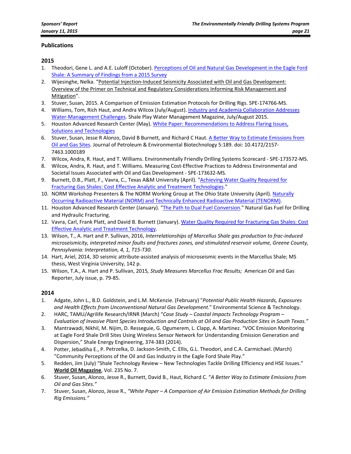# **Publications**

# **2015**

- 1. Theodori, Gene L. and A.E. Luloff (October). Perceptions of Oil and Natural Gas Development in the Eagle Ford Shale: A Summary of Findings from a 2015 Survey
- 2. Wijesinghe, Nelka. "Potential Injection-Induced Seismicity Associated with Oil and Gas Development: Overview of the Primer on Technical and Regulatory Considerations Informing Risk Management and Mitigation".
- 3. Stuver, Susan, 2015. A Comparison of Emission Estimation Protocols for Drilling Rigs. SPE‐174766‐MS.
- 4. Williams, Tom, Rich Haut, and Andra Wilcox (July/August). Industry and Academia Collaboration Addresses Water‐Management Challenges. Shale Play Water Management Magazine, July/August 2015.
- 5. Houston Advanced Research Center (May). White Paper: Recommendations to Address Flaring Issues, Solutions and Technologies
- 6. Stuver, Susan, Jesse R Alonzo, David B Burnett, and Richard C Haut. A Better Way to Estimate Emissions from Oil and Gas Sites. Journal of Petroleum & Environmental Biotechnology 5:189. doi: 10.4172/2157‐ 7463.1000189
- 7. Wilcox, Andra, R. Haut, and T. Williams. Environmentally Friendly Drilling Systems Scorecard ‐ SPE‐173572‐MS.
- 8. Wilcox, Andra, R. Haut, and T. Williams. Measuring Cost‐Effective Practices to Address Environmental and Societal Issues Associated with Oil and Gas Development ‐ SPE‐173632‐MS.
- 9. Burnett, D.B., Platt, F., Vavra, C., Texas A&M University (April). "Achieving Water Quality Required for Fracturing Gas Shales: Cost Effective Analytic and Treatment Technologies."
- 10. NORM Workshop Presenters & The NORM Working Group at The Ohio State University (April). Naturally Occurring Radioactive Material (NORM) and Technically Enhanced Radioactive Material (TENORM).
- 11. Houston Advanced Research Center (January). "The Path to Dual Fuel Conversion." Natural Gas Fuel for Drilling and Hydraulic Fracturing.
- 12. Vavra, Carl, Frank Platt, and David B. Burnett (January). Water Quality Required for Fracturing Gas Shales: Cost Effective Analytic and Treatment Technology.
- 13. Wilson, T., A. Hart and P. Sullivan, 2016, *Interrelationships of Marcellus Shale gas production to frac‐induced microseismicity, interpreted minor faults and fractures zones, and stimulated reservoir volume, Greene County, Pennsylvania: Interpretation, 4, 1, T15‐T30.*
- 14. Hart, Ariel, 2014, 3D seismic attribute‐assisted analysis of microseismic events in the Marcellus Shale; MS thesis, West Virginia University, 142 p.
- 15. Wilson, T.A., A. Hart and P. Sullivan, 2015*, Study Measures Marcellus Frac Results;* American Oil and Gas Reporter, July issue, p. 79‐85.

- 1. Adgate, John L., B.D. Goldstein, and L.M. McKenzie. (February) "*Potential Public Health Hazards, Exposures and Health Effects from Unconventional Natural Gas Development*." Environmental Science & Technology.
- 2. HARC, TAMU/Agrilife Research/IRNR (March) "*Case Study – Coastal Impacts Technology Program –* Evaluation of Invasive Plant Species Introduction and Controls at Oil and Gas Production Sites in South Texas."
- 3. Mantrawadi, Nikhil, M. Nijim, D. Resseguie, G. Ogumerem, L. Clapp, A. Martinez. "VOC Emission Monitoring at Eagle Ford Shale Drill Sites Using Wireless Sensor Network for Understanding Emission Generation and Dispersion," Shale Energy Engineering, 374‐383 (2014).
- 4. Potter, Jebadiha E., P. Petrzelka, D. Jackson‐Smith, C. Ellis, G.L. Theodori, and C.A. Carmichael. (March) "Community Perceptions of the Oil and Gas Industry in the Eagle Ford Shale Play."
- 5. Redden, Jim (July) "Shale Technology Review New Technologies Tackle Drilling Efficiency and HSE Issues." **World Oil Magazine**, Vol. 235 No. 7.
- 6. Stuver, Susan, Alonzo, Jesse R., Burnett, David B., Haut, Richard C. "*A Better Way to Estimate Emissions from Oil and Gas Sites."*
- 7. Stuver, Susan, Alonzo, Jesse R., *"White Paper – A Comparison of Air Emission Estimation Methods for Drilling Rig Emissions."*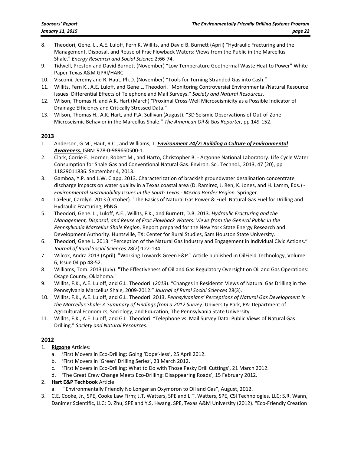- 8. Theodori, Gene. L., A.E. Luloff, Fern K. Willits, and David B. Burnett (April) "Hydraulic Fracturing and the Management, Disposal, and Reuse of Frac Flowback Waters: Views from the Public in the Marcellus Shale." *Energy Research and Social Science* 2:66‐74.
- 9. Tidwell, Preston and David Burnett (November) "Low Temperature Geothermal Waste Heat to Power" White Paper Texas A&M GPRI/HARC
- 10. Viscomi, Jeremy and R. Haut, Ph.D. (November) "Tools for Turning Stranded Gas into Cash."
- 11. Willits, Fern K., A.E. Luloff, and Gene L. Theodori. "Monitoring Controversial Environmental/Natural Resource Issues: Differential Effects of Telephone and Mail Surveys." *Society and Natural Resources*.
- 12. Wilson, Thomas H. and A.K. Hart (March) "Proximal Cross‐Well Microseismicity as a Possible Indicator of Drainage Efficiency and Critically Stressed Data."
- 13. Wilson, Thomas H., A.K. Hart, and P.A. Sullivan (August). "3D Seismic Observations of Out‐of‐Zone Microseismic Behavior in the Marcellus Shale." *The American Oil & Gas Reporter*, pp 149‐152.

# **2013**

- 1. Anderson, G.M., Haut, R.C., and Williams, T. *Environment 24/7: Building a Culture of Environmental Awareness.* ISBN: 978‐0‐989660500‐1.
- 2. Clark, Corrie E., Horner, Robert M., and Harto, Christopher B. ‐ Argonne National Laboratory. Life Cycle Water Consumption for Shale Gas and Conventional Natural Gas. Environ. Sci. Technol., 2013, 47 (20), pp 11829011836. September 4, 2013.
- 3. Gamboa, Y.P. and L.W. Clapp, 2013. Characterization of brackish groundwater desalination concentrate discharge impacts on water quality in a Texas coastal area (D. Ramirez, J. Ren, K. Jones, and H. Lamm, Eds.) ‐ *Environmental Sustainability Issues in the South Texas ‐ Mexico Border Region*. Springer.
- 4. LaFleur, Carolyn. 2013 (October). "The Basics of Natural Gas Power & Fuel. Natural Gas Fuel for Drilling and Hydraulic Fracturing, PbNG.
- 5. Theodori, Gene. L., Luloff, A.E., Willits, F.K., and Burnett, D.B. 2013. *Hydraulic Fracturing and the Management, Disposal, and Reuse of Frac Flowback Waters: Views from the General Public in the Pennsylvania Marcellus Shale Region*. Report prepared for the New York State Energy Research and Development Authority. Huntsville, TX: Center for Rural Studies, Sam Houston State University.
- 6. Theodori, Gene L. 2013. "Perception of the Natural Gas Industry and Engagement in Individual Civic Actions." *Journal of Rural Social Sciences* 28(2):122‐134.
- 7. Wilcox, Andra 2013 (April). "Working Towards Green E&P." Article published in OilField Technology, Volume 6, Issue 04 pp 48‐52.
- 8. Williams, Tom. 2013 (July). "The Effectiveness of Oil and Gas Regulatory Oversight on Oil and Gas Operations: Osage County, Oklahoma."
- 9. Willits, F.K., A.E. Luloff, and G.L. Theodori. (*2013*). "Changes in Residents' Views of Natural Gas Drilling in the Pennsylvania Marcellus Shale, 2009‐2012." *Journal of Rural Social Sciences* 28(3).
- 10. Willits, F.K., A.E. Luloff, and G.L. Theodori. 2013. *Pennsylvanians' Perceptions of Natural Gas Development in the Marcellus Shale: A Summary of Findings from a 2012 Survey*. University Park, PA: Department of Agricultural Economics, Sociology, and Education, The Pennsylvania State University.
- 11. Willits, F.K., A.E. Luloff, and G.L. Theodori. "Telephone vs. Mail Survey Data: Public Views of Natural Gas Drilling." *Society and Natural Resources*.

- 1. **Rigzone** Articles:
	- a. 'First Movers in Eco‐Drilling: Going 'Dope'‐less', 25 April 2012.
	- b. 'First Movers in 'Green' Drilling Series', 23 March 2012.
	- c. 'First Movers in Eco‐Drilling: What to Do with Those Pesky Drill Cuttings', 21 March 2012.
	- d. 'The Great Crew Change Meets Eco‐Drilling: Disappearing Roads', 15 February 2012.
- 2. **Hart E&P Techbook** Article:
	- a. "Environmentally Friendly No Longer an Oxymoron to Oil and Gas", August, 2012.
- 3. C.E. Cooke, Jr., SPE, Cooke Law Firm; J.T. Watters, SPE and L.T. Watters, SPE, CSI Technologies, LLC; S.R. Wann, Danimer Scientific, LLC; D. Zhu, SPE and Y.S. Hwang, SPE, Texas A&M University (2012). "Eco‐Friendly Creation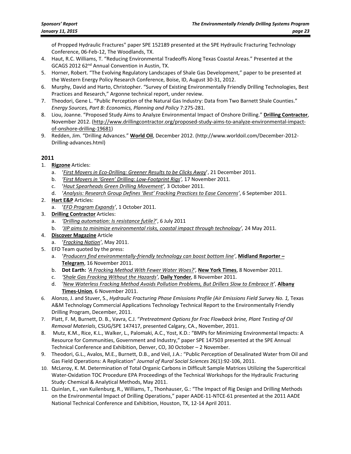of Propped Hydraulic Fractures" paper SPE 152189 presented at the SPE Hydraulic Fracturing Technology Conference, 06‐Feb‐12, The Woodlands, TX.

- 4. Haut, R.C. Williams, T. "Reducing Environmental Tradeoffs Along Texas Coastal Areas." Presented at the GCAGS 2012 62nd Annual Convention in Austin, TX.
- 5. Horner, Robert. "The Evolving Regulatory Landscapes of Shale Gas Development," paper to be presented at the Western Energy Policy Research Conference, Boise, ID, August 30‐31, 2012.
- 6. Murphy, David and Harto, Christopher. "Survey of Existing Environmentally Friendly Drilling Technologies, Best Practices and Research," Argonne technical report, under review.
- 7. Theodori, Gene L. "Public Perception of the Natural Gas Industry: Data from Two Barnett Shale Counties." *Energy Sources, Part B: Economics, Planning and Policy* 7:275‐281.
- 8. Liou, Joanne. "Proposed Study Aims to Analyze Environmental Impact of Onshore Drilling." **Drilling Contractor**, November 2012. (http://www.drillingcontractor.org/proposed‐study‐aims‐to‐analyze‐environmental‐impact‐ of‐onshore‐drilling‐19681)
- 9. Redden, Jim. "Drilling Advances." **World Oil**, December 2012. (http://www.worldoil.com/December‐2012‐ Drilling‐advances.html)

- 1. **Rigzone** Articles:
	- a. '*First Movers in Eco‐Drilling: Greener Results to be Clicks Away*', 21 December 2011.
	- b. *'First Movers in 'Green' Drilling: Low‐Footprint Rigs',* 17 November 2011.
	- c. '*Haut Spearheads Green Drilling Movement',* 3 October 2011.
	- d. '*Analysis: Research Group Defines 'Best' Fracking Practices to Ease Concerns'*, 6 September 2011.
- 2. **Hart E&P** Articles:
	- a. '*EFD Program Expands'*, 1 October 2011.
- 3. **Drilling Contractor** Articles:
	- a. *'Drilling automation: Is resistance futile?'*, 6 July 2011
	- b. *'JIP aims to minimize environmental risks, coastal impact through technology',* 24 May 2011.
- 4. **Discover Magazine** Article
	- a. '*Fracking Nation'*, May 2011.
- 5. EFD Team quoted by the press:
	- a. '*Producers find environmentally‐friendly technology can boost bottom line'*, **Midland Reporter – Telegram**, 16 November 2011.
	- b. **Dot Earth:** *'A Fracking Method With Fewer Water Woes?',* **New York Times**, 8 November 2011.
	- c. *'Shale Gas Fracking Without the Hazards',* **Daily Yonder**, 8 November 2011.
	- d. *'New Waterless Fracking Method Avoids Pollution Problems, But Drillers Slow to Embrace It'*, **Albany Times‐Union**, 6 November 2011.
- 6. Alonzo, J. and Stuver, S., *Hydraulic Fracturing Phase Emissions Profile (Air Emissions Field Survey No. 1,* Texas A&M Technology Commercial Applications Technology Technical Report to the Environmentally Friendly Drilling Program, December, 2011.
- 7. Platt, F. M, Burnett, D. B., Vavra, C.J. "*Pretreatment Options for Frac Flowback brine, Plant Testing of Oil Removal Materials*, CSUG/SPE 147417, presented Calgary, CA., November, 2011.
- 8. Mutz, K.M., Rice, K.L., Walker, L., Palomaki, A.C., Yost, K.D.: "BMPs for Minimizing Environmental Impacts: A Resource for Communities, Government and Industry," paper SPE 147503 presented at the SPE Annual Technical Conference and Exhibition, Denver, CO, 30 October – 2 November.
- 9. Theodori, G.L., Avalos, M.E., Burnett, D.B., and Veil, J.A.: "Public Perception of Desalinated Water from Oil and Gas Field Operations: A Replication" *Journal of Rural Social Sciences* 26(1):92‐106, 2011.
- 10. McLeroy, K. M. Determination of Total Organic Carbons in Difficult Sample Matrices Utilizing the Supercritical Water‐Oxidation TOC Procedure EPA Proceedings of the Technical Workshops for the Hydraulic Fracturing Study: Chemical & Analytical Methods, May 2011.
- 11. Quinlan, E., van Kuilenburg, R., Williams, T., Thonhauser, G.: "The Impact of Rig Design and Drilling Methods on the Environmental Impact of Drilling Operations," paper AADE‐11‐NTCE‐61 presented at the 2011 AADE National Technical Conference and Exhibition, Houston, TX, 12‐14 April 2011.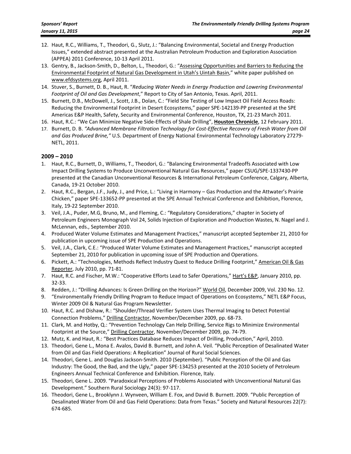- 12. Haut, R.C., Williams, T., Theodori, G., Slutz, J.: "Balancing Environmental, Societal and Energy Production Issues," extended abstract presented at the Australian Petroleum Production and Exploration Association (APPEA) 2011 Conference, 10‐13 April 2011.
- 13. Gentry, B., Jackson‐Smith, D., Belton, L., Theodori, G.: "Assessing Opportunities and Barriers to Reducing the Environmental Footprint of Natural Gas Development in Utah's Uintah Basin," white paper published on www.efdsystems.org, April 2011.
- 14. Stuver, S., Burnett, D. B., Haut, R. "*Reducing Water Needs in Energy Production and Lowering Environmental Footprint of Oil and Gas Development*," Report to City of San Antonio, Texas. April, 2011.
- 15. Burnett, D.B., McDowell, J., Scott, J.B., Dolan, C.: "Field Site Testing of Low Impact Oil Field Access Roads: Reducing the Environmental Footprint in Desert Ecosystems," paper SPE‐142139‐PP presented at the SPE Americas E&P Health, Safety, Security and Environmental Conference, Houston, TX, 21‐23 March 2011.
- 16. Haut, R.C.: "We Can Minimize Negative Side‐Effects of Shale Drilling", **Houston Chronicle**, 12 February 2011.
- 17. Burnett, D. B. *"Advanced Membrane Filtration Technology for Cost‐Effective Recovery of Fresh Water from Oil and Gas Produced Brine,"* U.S. Department of Energy National Environmental Technology Laboratory 27279‐ NETL, 2011.

# **2009 – 2010**

- 1. Haut, R.C., Burnett, D., Williams, T., Theodori, G.: "Balancing Environmental Tradeoffs Associated with Low Impact Drilling Systems to Produce Unconventional Natural Gas Resources," paper CSUG/SPE‐1337430‐PP presented at the Canadian Unconventional Resources & International Petroleum Conference, Calgary, Alberta, Canada, 19‐21 October 2010.
- 2. Haut, R.C., Bergan, J.F., Judy, J., and Price, L.: "Living in Harmony Gas Production and the Attwater's Prairie Chicken," paper SPE‐133652‐PP presented at the SPE Annual Technical Conference and Exhibition, Florence, Italy, 19‐22 September 2010.
- 3. Veil, J.A., Puder, M.G, Bruno, M., and Fleming, C.: "Regulatory Considerations," chapter in Society of Petroleum Engineers Monograph Vol 24, Solids Injection of Exploration and Production Wastes, N. Nagel and J. McLennan, eds., September 2010.
- 4. Produced Water Volume Estimates and Management Practices," manuscript accepted September 21, 2010 for publication in upcoming issue of SPE Production and Operations.
- 5. Veil, J.A., Clark, C.E.: "Produced Water Volume Estimates and Management Practices," manuscript accepted September 21, 2010 for publication in upcoming issue of SPE Production and Operations.
- 6. Pickett, A.: "Technologies, Methods Reflect Industry Quest to Reduce Drilling Footprint," American Oil & Gas Reporter, July 2010, pp. 71‐81.
- 7. Haut, R.C. and Fischer, M.W.: "Cooperative Efforts Lead to Safer Operations," Hart's E&P, January 2010, pp. 32‐33.
- 8. Redden, J.: "Drilling Advances: Is Green Drilling on the Horizon?" World Oil, December 2009, Vol. 230 No. 12.
- 9. "Environmentally Friendly Drilling Program to Reduce Impact of Operations on Ecosystems," NETL E&P Focus, Winter 2009 Oil & Natural Gas Program Newsletter.
- 10. Haut, R.C. and Dishaw, R.: "Shoulder/Thread Verifier System Uses Thermal Imaging to Detect Potential Connection Problems," Drilling Contractor, November/December 2009, pp. 68‐73.
- 11. Clark, M. and Hotby, Q.: "Prevention Technology Can Help Drilling, Service Rigs to Minimize Environmental Footprint at the Source," Drilling Contractor, November/December 2009, pp. 74‐79.
- 12. Mutz, K. and Haut, R.: "Best Practices Database Reduces Impact of Drilling, Production," April, 2010.
- 13. Theodori, Gene L., Mona E. Avalos, David B. Burnett, and John A. Veil. "Public Perception of Desalinated Water from Oil and Gas Field Operations: A Replication" Journal of Rural Social Sciences.
- 14. Theodori, Gene L. and Douglas Jackson‐Smith. 2010 (September). "Public Perception of the Oil and Gas Industry: The Good, the Bad, and the Ugly," paper SPE‐134253 presented at the 2010 Society of Petroleum Engineers Annual Technical Conference and Exhibition. Florence, Italy.
- 15. Theodori, Gene L. 2009. "Paradoxical Perceptions of Problems Associated with Unconventional Natural Gas Development." Southern Rural Sociology 24(3): 97‐117.
- 16. Theodori, Gene L., Brooklynn J. Wynveen, William E. Fox, and David B. Burnett. 2009. "Public Perception of Desalinated Water from Oil and Gas Field Operations: Data from Texas." Society and Natural Resources 22(7): 674‐685.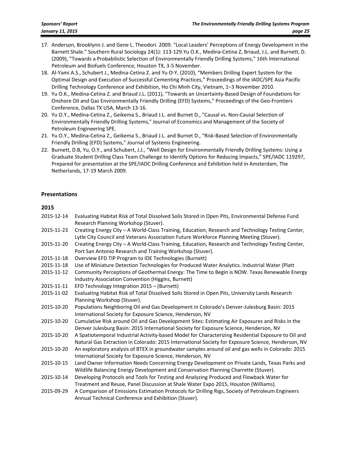- 17. Anderson, Brooklynn J. and Gene L. Theodori. 2009. "Local Leaders' Perceptions of Energy Development in the Barnett Shale." Southern Rural Sociology 24(1): 113‐129.Yu O.K., Medina‐Cetina Z, Briaud, J.L. and Burnett, D. (2009), "Towards a Probabilistic Selection of Environmentally Friendly Drilling Systems," 16th International Petroleum and Biofuels Conference, Houston TX, 3‐5 November.
- 18. Al‐Yami A.S., Schubert J., Medina‐Cetina Z. and Yu O‐Y, (2010), "Members Drilling Expert System for the Optimal Design and Execution of Successful Cementing Practices," Proceedings of the IADC/SPE Asia Pacific Drilling Technology Conference and Exhibition, Ho Chi Minh City, Vietnam, 1–3 November 2010.
- 19. Yu O.K., Medina‐Cetina Z. and Briaud J.L. (2011), "Towards an Uncertainty‐Based Design of Foundations for Onshore Oil and Gas Environmentally Friendly Drilling (EFD) Systems," Proceedings of the Geo‐Frontiers Conference, Dallas TX USA, March 13‐16.
- 20. Yu O.Y., Medina‐Cetina Z., Geikema S., Briaud J.L. and Burnet D., "Causal vs. Non‐Causal Selection of Environmentally Friendly Drilling Systems," Journal of Economics and Management of the Society of Petroleum Engineering SPE.
- 21. Yu O.Y., Medina‐Cetina Z., Geikema S., Briaud J.L. and Burnet D., "Risk‐Based Selection of Environmentally Friendly Drilling (EFD) Systems," Journal of Systems Engineering.
- 22. Burnett, D.B, Yu, O.Y., and Schubert, J.J., "Well Design for Environmentally Friendly Drilling Systems: Using a Graduate Student Drilling Class Team Challenge to Identify Options for Reducing Impacts," SPE/IADC 119297, Prepared for presentation at the SPE/IADC Drilling Conference and Exhibition held in Amsterdam, The Netherlands, 17‐19 March 2009.

# **Presentations**

| 2015-12-14 | Evaluating Habitat Risk of Total Dissolved Solis Stored in Open Pits, Environmental Defense Fund                                                                                             |
|------------|----------------------------------------------------------------------------------------------------------------------------------------------------------------------------------------------|
|            | Research Planning Workshop (Stuver).                                                                                                                                                         |
| 2015-11-23 | Creating Energy City - A World-Class Training, Education, Research and Technology Testing Center,<br>Lytle City Council and Veterans Association Future Workforce Planning Meeting (Stuver). |
| 2015-11-20 | Creating Energy City - A World-Class Training, Education, Research and Technology Testing Center,                                                                                            |
|            | Port San Antonio Research and Training Workshop (Stuver).                                                                                                                                    |
| 2015-11-18 | Overview EFD TIP Program to IDE Technologies (Burnett)                                                                                                                                       |
| 2015-11-18 | Use of Miniature Detection Technologies for Produced Water Analytics. Industrial Water (Platt                                                                                                |
| 2015-11-12 | Community Perceptions of Geothermal Energy: The Time to Begin is NOW. Texas Renewable Energy                                                                                                 |
|            | Industry Association Convention (Higgins, Burnett)                                                                                                                                           |
| 2015-11-11 | EFD Technology Integration 2015 - (Burnett)                                                                                                                                                  |
| 2015-11-02 | Evaluating Habitat Risk of Total Dissolved Solis Stored in Open Pits, University Lands Research                                                                                              |
|            | Planning Workshop (Stuver).                                                                                                                                                                  |
| 2015-10-20 | Populations Neighboring Oil and Gas Development in Colorado's Denver-Julesburg Basin: 2015                                                                                                   |
|            | International Society for Exposure Science, Henderson, NV                                                                                                                                    |
| 2015-10-20 | Cumulative Risk around Oil and Gas Development Sites: Estimating Air Exposures and Risks in the                                                                                              |
|            | Denver Julesburg Basin: 2015 International Society for Exposure Science, Henderson, NV                                                                                                       |
| 2015-10-20 | A Spatiotemporal Industrial Activity-based Model for Characterizing Residential Exposure to Oil and                                                                                          |
|            | Natural Gas Extraction in Colorado: 2015 International Society for Exposure Science, Henderson, NV                                                                                           |
| 2015-10-20 | An exploratory analysis of BTEX in groundwater samples around oil and gas wells in Colorado: 2015                                                                                            |
|            | International Society for Exposure Science, Henderson, NV                                                                                                                                    |
| 2015-10-15 | Land Owner Information Needs Concerning Energy Development on Private Lands, Texas Parks and                                                                                                 |
|            | Wildlife Balancing Energy Development and Conservation Planning Charrette (Stuver).                                                                                                          |
| 2015-10-14 | Developing Protocols and Tools for Testing and Analyzing Produced and Flowback Water for                                                                                                     |
|            | Treatment and Reuse, Panel Discussion at Shale Water Expo 2015, Houston (Williams).                                                                                                          |
| 2015-09-29 | A Comparison of Emissions Estimation Protocols for Drilling Rigs, Society of Petroleum Engineers                                                                                             |
|            | Annual Technical Conference and Exhibition (Stuver).                                                                                                                                         |
|            |                                                                                                                                                                                              |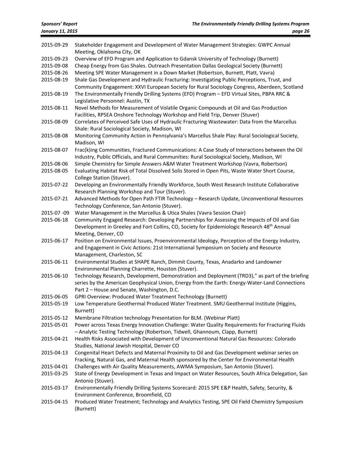| 2015-09-29  | Stakeholder Engagement and Development of Water Management Strategies: GWPC Annual<br>Meeting, Oklahoma City, OK                 |
|-------------|----------------------------------------------------------------------------------------------------------------------------------|
| 2015-09-23  | Overview of EFD Program and Application to Gdansk University of Technology (Burnett)                                             |
| 2015-09-08  | Cheap Energy from Gas Shales. Outreach Presentation Dallas Geological Society (Burnett)                                          |
| 2015-08-26  | Meeting SPE Water Management in a Down Market (Robertson, Burnett, Platt, Vavra)                                                 |
|             |                                                                                                                                  |
| 2015-08-19  | Shale Gas Development and Hydraulic Fracturing: Investigating Public Perceptions, Trust, and                                     |
|             | Community Engagement: XXVI European Society for Rural Sociology Congress, Aberdeen, Scotland                                     |
| 2015-08-19  | The Environmentally Friendly Drilling Systems (EFD) Program - EFD Virtual Sites, PBPA RRC &<br>Legislative Personnel: Austin, TX |
|             | Novel Methods for Measurement of Volatile Organic Compounds at Oil and Gas Production                                            |
| 2015-08-11  | Facilities, RPSEA Onshore Technology Workshop and Field Trip, Denver (Stuver)                                                    |
| 2015-08-09  | Correlates of Perceived Safe Uses of Hydraulic Fracturing Wastewater: Data from the Marcellus                                    |
|             |                                                                                                                                  |
|             | Shale: Rural Sociological Society, Madison, WI                                                                                   |
| 2015-08-08  | Monitoring Community Action in Pennsylvania's Marcellus Shale Play: Rural Sociological Society,                                  |
|             | Madison, WI                                                                                                                      |
| 2015-08-07  | Frac(k)ing Communities, Fractured Communications: A Case Study of Interactions between the Oil                                   |
|             | Industry, Public Officials, and Rural Communities: Rural Sociological Society, Madison, WI                                       |
| 2015-08-06  | Simple Chemistry for Simple Answers A&M Water Treatment Workshop (Vavra, Robertson)                                              |
| 2015-08-05  | Evaluating Habitat Risk of Total Dissolved Solis Stored in Open Pits, Waste Water Short Course,                                  |
|             | College Station (Stuver).                                                                                                        |
| 2015-07-22  | Developing an Environmentally Friendly Workforce, South West Research Institute Collaborative                                    |
|             | Research Planning Workshop and Tour (Stuver).                                                                                    |
| 2015-07-21  | Advanced Methods for Open Path FTIR Technology - Research Update, Unconventional Resources                                       |
|             | Technology Conference, San Antonio (Stuver).                                                                                     |
| 2015-07 -09 | Water Management in the Marcellus & Utica Shales (Vavra Session Chair)                                                           |
| 2015-06-18  | Community Engaged Research: Developing Partnerships for Assessing the Impacts of Oil and Gas                                     |
|             | Development in Greeley and Fort Collins, CO, Society for Epidemiologic Research 48 <sup>th</sup> Annual                          |
|             | Meeting, Denver, CO                                                                                                              |
| 2015-06-17  | Position on Environmental Issues, Proenvironmental Ideology, Perception of the Energy Industry,                                  |
|             | and Engagement in Civic Actions: 21st International Symposium on Society and Resource                                            |
|             | Management, Charleston, SC                                                                                                       |
| 2015-06-11  |                                                                                                                                  |
|             | Environmental Studies at SHAPE Ranch, Dimmit County, Texas, Anadarko and Landowner                                               |
|             | Environmental Planning Charrette, Houston (Stuver).                                                                              |
| 2015-06-10  | Technology Research, Development, Demonstration and Deployment (TRD3)," as part of the briefing                                  |
|             | series by the American Geophysical Union, Energy from the Earth: Energy-Water-Land Connections                                   |
|             | Part 2 - House and Senate, Washington, D.C.                                                                                      |
| 2015-06-05  | GPRI Overview: Produced Water Treatment Technology (Burnett)                                                                     |
| 2015-05-19  | Low Temperature Geothermal Produced Water Treatment. SMU Geothermal Institute (Higgins,                                          |
|             | Burnett)                                                                                                                         |
| 2015-05-12  | Membrane Filtration technology Presentation for BLM. (Webinar Platt)                                                             |
| 2015-05-01  | Power across Texas Energy Innovation Challenge: Water Quality Requirements for Fracturing Fluids                                 |
|             | - Analytic Testing Technology (Robertson, Tidwell, Ghannoum, Clapp, Burnett)                                                     |
| 2015-04-21  | Health Risks Associated with Development of Unconventional Natural Gas Resources: Colorado                                       |
|             | Studies, National Jewish Hospital, Denver CO                                                                                     |
| 2015-04-13  | Congenital Heart Defects and Maternal Proximity to Oil and Gas Development webinar series on                                     |
|             | Fracking, Natural Gas, and Maternal Health sponsored by the Center for Environmental Health                                      |
| 2015-04-01  | Challenges with Air Quality Measurements, AWMA Symposium, San Antonio (Stuver).                                                  |
| 2015-03-25  | State of Energy Development in Texas and Impact on Water Resources, South Africa Delegation, San                                 |
|             | Antonio (Stuver).                                                                                                                |
| 2015-03-17  | Environmentally Friendly Drilling Systems Scorecard: 2015 SPE E&P Health, Safety, Security, &                                    |
|             |                                                                                                                                  |
|             | Environment Conference, Broomfield, CO                                                                                           |
| 2015-04-15  | Produced Water Treatment; Technology and Analytics Testing, SPE Oil Field Chemistry Symposium                                    |
|             | (Burnett)                                                                                                                        |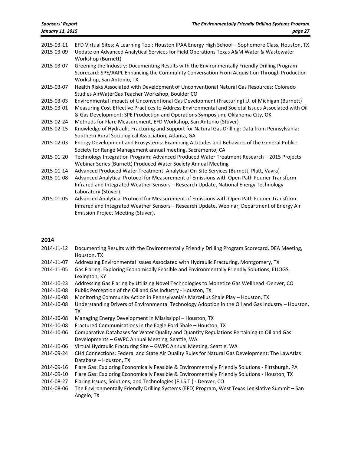| 2015-03-11 | EFD Virtual Sites; A Learning Tool: Houston IPAA Energy High School - Sophomore Class, Houston, TX                                                         |
|------------|------------------------------------------------------------------------------------------------------------------------------------------------------------|
| 2015-03-09 | Update on Advanced Analytical Services for Field Operations Texas A&M Water & Wastewater<br>Workshop (Burnett)                                             |
| 2015-03-07 | Greening the Industry: Documenting Results with the Environmentally Friendly Drilling Program                                                              |
|            | Scorecard: SPE/AAPL Enhancing the Community Conversation From Acquisition Through Production<br>Workshop, San Antonio, TX                                  |
| 2015-03-07 | Health Risks Associated with Development of Unconventional Natural Gas Resources: Colorado                                                                 |
|            | Studies AirWaterGas Teacher Workshop, Boulder CO                                                                                                           |
| 2015-03-03 | Environmental Impacts of Unconventional Gas Development (Fracturing) U. of Michigan (Burnett)                                                              |
| 2015-03-01 | Measuring Cost-Effective Practices to Address Environmental and Societal Issues Associated with Oil                                                        |
|            | & Gas Development: SPE Production and Operations Symposium, Oklahoma City, OK                                                                              |
| 2015-02-24 | Methods for Flare Measurement, EFD Workshop, San Antonio (Stuver)                                                                                          |
| 2015-02-15 | Knowledge of Hydraulic Fracturing and Support for Natural Gas Drilling: Data from Pennsylvania:                                                            |
|            | Southern Rural Sociological Association, Atlanta, GA                                                                                                       |
| 2015-02-03 | Energy Development and Ecosystems: Examining Attitudes and Behaviors of the General Public:<br>Society for Range Management annual meeting, Sacramento, CA |
| 2015-01-20 | Technology Integration Program: Advanced Produced Water Treatment Research - 2015 Projects                                                                 |
|            | Webinar Series (Burnett) Produced Water Society Annual Meeting                                                                                             |
| 2015-01-14 | Advanced Produced Water Treatment: Analytical On-Site Services (Burnett, Platt, Vavra)                                                                     |
| 2015-01-08 | Advanced Analytical Protocol for Measurement of Emissions with Open Path Fourier Transform                                                                 |
|            | Infrared and Integrated Weather Sensors - Research Update, National Energy Technology                                                                      |
|            | Laboratory (Stuver).                                                                                                                                       |
| 2015-01-05 | Advanced Analytical Protocol for Measurement of Emissions with Open Path Fourier Transform                                                                 |
|            | Infrared and Integrated Weather Sensors - Research Update, Webinar, Department of Energy Air                                                               |
|            | Emission Project Meeting (Stuver).                                                                                                                         |
|            |                                                                                                                                                            |

# **2014**

| 2014-11-12 | Documenting Results with the Environmentally Friendly Drilling Program Scorecard, DEA Meeting,<br>Houston, TX |
|------------|---------------------------------------------------------------------------------------------------------------|
| 2014-11-07 | Addressing Environmental Issues Associated with Hydraulic Fracturing, Montgomery, TX                          |
| 2014-11-05 | Gas Flaring: Exploring Economically Feasible and Environmentally Friendly Solutions, EUOGS,<br>Lexington, KY  |
| 2014-10-23 | Addressing Gas Flaring by Utilizing Novel Technologies to Monetize Gas Wellhead -Denver, CO                   |
| 2014-10-08 | Public Perception of the Oil and Gas Industry - Houston, TX                                                   |
| 2014-10-08 | Monitoring Community Action in Pennsylvania's Marcellus Shale Play - Houston, TX                              |
| 2014-10-08 | Understanding Drivers of Environmental Technology Adoption in the Oil and Gas Industry - Houston,             |
|            | ТX                                                                                                            |
| 2014-10-08 | Managing Energy Development in Mississippi – Houston, TX                                                      |
| 2014-10-08 | Fractured Communications in the Eagle Ford Shale - Houston, TX                                                |
| 2014-10-06 | Comparative Databases for Water Quality and Quantity Regulations Pertaining to Oil and Gas                    |
|            | Developments – GWPC Annual Meeting, Seattle, WA                                                               |
| 2014-10-06 | Virtual Hydraulic Fracturing Site – GWPC Annual Meeting, Seattle, WA                                          |
| 2014-09-24 | CH4 Connections: Federal and State Air Quality Rules for Natural Gas Development: The LawAtlas                |
|            | Database - Houston, TX                                                                                        |

2014‐09‐16 Flare Gas: Exploring Economically Feasible & Environmentally Friendly Solutions ‐ Pittsburgh, PA

2014‐09‐10 Flare Gas: Exploring Economically Feasible & Environmentally Friendly Solutions ‐ Houston, TX

2014‐08‐27 Flaring Issues, Solutions, and Technologies (F.I.S.T.) ‐ Denver, CO

2014‐08‐06 The Environmentally Friendly Drilling Systems (EFD) Program, West Texas Legislative Summit – San Angelo, TX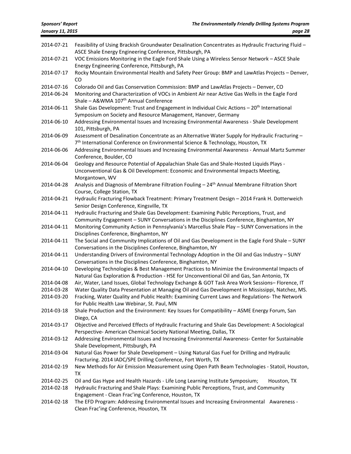| 2014-07-21 | Feasibility of Using Brackish Groundwater Desalination Concentrates as Hydraulic Fracturing Fluid -<br>ASCE Shale Energy Engineering Conference, Pittsburgh, PA                                 |
|------------|-------------------------------------------------------------------------------------------------------------------------------------------------------------------------------------------------|
| 2014-07-21 | VOC Emissions Monitoring in the Eagle Ford Shale Using a Wireless Sensor Network - ASCE Shale<br>Energy Engineering Conference, Pittsburgh, PA                                                  |
| 2014-07-17 | Rocky Mountain Environmental Health and Safety Peer Group: BMP and LawAtlas Projects - Denver,<br>CO                                                                                            |
| 2014-07-16 | Colorado Oil and Gas Conservation Commission: BMP and LawAtlas Projects - Denver, CO                                                                                                            |
| 2014-06-24 | Monitoring and Characterization of VOCs in Ambient Air near Active Gas Wells in the Eagle Ford<br>Shale - A&WMA 107 <sup>th</sup> Annual Conference                                             |
| 2014-06-11 | Shale Gas Development: Trust and Engagement in Individual Civic Actions - 20 <sup>th</sup> International                                                                                        |
|            | Symposium on Society and Resource Management, Hanover, Germany                                                                                                                                  |
| 2014-06-10 | Addressing Environmental Issues and Increasing Environmental Awareness - Shale Development<br>101, Pittsburgh, PA                                                                               |
| 2014-06-09 | Assessment of Desalination Concentrate as an Alternative Water Supply for Hydraulic Fracturing -<br>7 <sup>th</sup> International Conference on Environmental Science & Technology, Houston, TX |
| 2014-06-06 | Addressing Environmental Issues and Increasing Environmental Awareness - Annual Martz Summer<br>Conference, Boulder, CO                                                                         |
| 2014-06-04 | Geology and Resource Potential of Appalachian Shale Gas and Shale-Hosted Liquids Plays -                                                                                                        |
|            | Unconventional Gas & Oil Development: Economic and Environmental Impacts Meeting,<br>Morgantown, WV                                                                                             |
| 2014-04-28 | Analysis and Diagnosis of Membrane Filtration Fouling - 24 <sup>th</sup> Annual Membrane Filtration Short                                                                                       |
|            | Course, College Station, TX                                                                                                                                                                     |
| 2014-04-21 | Hydraulic Fracturing Flowback Treatment: Primary Treatment Design - 2014 Frank H. Dotterweich<br>Senior Design Conference, Kingsville, TX                                                       |
| 2014-04-11 | Hydraulic Fracturing and Shale Gas Development: Examining Public Perceptions, Trust, and<br>Community Engagement - SUNY Conversations in the Disciplines Conference, Binghamton, NY             |
| 2014-04-11 | Monitoring Community Action in Pennsylvania's Marcellus Shale Play - SUNY Conversations in the<br>Disciplines Conference, Binghamton, NY                                                        |
| 2014-04-11 | The Social and Community Implications of Oil and Gas Development in the Eagle Ford Shale - SUNY                                                                                                 |
|            | Conversations in the Disciplines Conference, Binghamton, NY                                                                                                                                     |
| 2014-04-11 | Understanding Drivers of Environmental Technology Adoption in the Oil and Gas Industry - SUNY                                                                                                   |
|            | Conversations in the Disciplines Conference, Binghamton, NY                                                                                                                                     |
| 2014-04-10 | Developing Technologies & Best Management Practices to Minimize the Environmental Impacts of                                                                                                    |
|            | Natural Gas Exploration & Production - HSE for Unconventional Oil and Gas, San Antonio, TX                                                                                                      |
| 2014-04-08 | Air, Water, Land Issues, Global Technology Exchange & GOT Task Area Work Sessions- Florence, IT                                                                                                 |
| 2014-03-28 | Water Quality Data Presentation at Managing Oil and Gas Development in Mississippi, Natchez, MS.                                                                                                |
| 2014-03-20 | Fracking, Water Quality and Public Health: Examining Current Laws and Regulations- The Network<br>for Public Health Law Webinar, St. Paul, MN                                                   |
| 2014-03-18 | Shale Production and the Environment: Key Issues for Compatibility - ASME Energy Forum, San<br>Diego, CA                                                                                        |
| 2014-03-17 | Objective and Perceived Effects of Hydraulic Fracturing and Shale Gas Development: A Sociological<br>Perspective-American Chemical Society National Meeting, Dallas, TX                         |
| 2014-03-12 | Addressing Environmental Issues and Increasing Environmental Awareness- Center for Sustainable<br>Shale Development, Pittsburgh, PA                                                             |
| 2014-03-04 | Natural Gas Power for Shale Development - Using Natural Gas Fuel for Drilling and Hydraulic<br>Fracturing. 2014 IADC/SPE Drilling Conference, Fort Worth, TX                                    |
| 2014-02-19 | New Methods for Air Emission Measurement using Open Path Beam Technologies - Statoil, Houston,<br>TX                                                                                            |
| 2014-02-25 | Oil and Gas Hype and Health Hazards - Life Long Learning Institute Symposium;<br>Houston, TX                                                                                                    |
| 2014-02-18 | Hydraulic Fracturing and Shale Plays: Examining Public Perceptions, Trust, and Community                                                                                                        |
|            | Engagement - Clean Frac'ing Conference, Houston, TX                                                                                                                                             |
| 2014-02-18 | The EFD Program: Addressing Environmental Issues and Increasing Environmental Awareness -<br>Clean Frac'ing Conference, Houston, TX                                                             |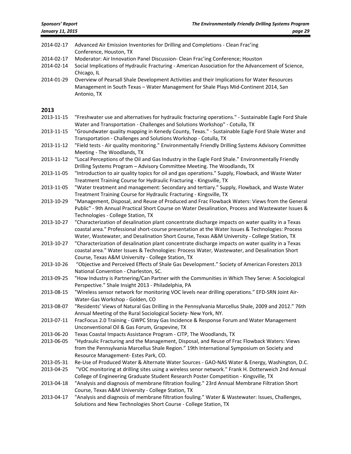| <b>Sponsors' Report</b><br><b>January 11, 2015</b> | The Environmentally Friendly Drilling Systems Program<br>page 29                                                                                                                                    |
|----------------------------------------------------|-----------------------------------------------------------------------------------------------------------------------------------------------------------------------------------------------------|
| 2014-02-17                                         | Advanced Air Emission Inventories for Drilling and Completions - Clean Frac'ing<br>Conference, Houston, TX                                                                                          |
| 2014-02-17                                         | Moderator: Air Innovation Panel Discussion- Clean Frac'ing Conference; Houston                                                                                                                      |
| 2014-02-14                                         | Social Implications of Hydraulic Fracturing - American Association for the Advancement of Science,<br>Chicago, IL                                                                                   |
| 2014-01-29                                         | Overview of Pearsall Shale Development Activities and their Implications for Water Resources<br>Management in South Texas - Water Management for Shale Plays Mid-Continent 2014, San<br>Antonio, TX |
| 2013                                               |                                                                                                                                                                                                     |
| 2013-11-15                                         | "Freshwater use and alternatives for hydraulic fracturing operations." - Sustainable Eagle Ford Shale<br>Water and Transportation - Challenges and Solutions Workshop" - Cotulla, TX                |
| 2013-11-15                                         | "Groundwater quality mapping in Kenedy County, Texas." - Sustainable Eagle Ford Shale Water and<br>Transportation - Challenges and Solutions Workshop - Cotulla, TX                                 |
| 2013-11-12                                         | "Field tests - Air quality monitoring." Environmentally Friendly Drilling Systems Advisory Committee<br>Meeting - The Woodlands, TX                                                                 |
| 2013-11-12                                         | "Local Perceptions of the Oil and Gas Industry in the Eagle Ford Shale." Environmentally Friendly<br>Drilling Systems Program - Advisory Committee Meeting. The Woodlands, TX                       |
| 2013-11-05                                         | "Introduction to air quality topics for oil and gas operations." Supply, Flowback, and Waste Water<br>Treatment Training Course for Hydraulic Fracturing - Kingsville, TX                           |

2013‐11‐05 "Water treatment and management: Secondary and tertiary." Supply, Flowback, and Waste Water Treatment Training Course for Hydraulic Fracturing ‐ Kingsville, TX

2013-10-29 "Management, Disposal, and Reuse of Produced and Frac Flowback Waters: Views from the General Public" ‐ 9th Annual Practical Short Course on Water Desalination, Process and Wastewater Issues & Technologies ‐ College Station, TX

- 2013‐10‐27 "Characterization of desalination plant concentrate discharge impacts on water quality in a Texas coastal area." Professional short‐course presentation at the Water Issues & Technologies: Process Water, Wastewater, and Desalination Short Course, Texas A&M University ‐ College Station, TX
- 2013‐10‐27 "Characterization of desalination plant concentrate discharge impacts on water quality in a Texas coastal area." Water Issues & Technologies: Process Water, Wastewater, and Desalination Short Course, Texas A&M University ‐ College Station, TX
- 2013‐10‐26 "Objective and Perceived Effects of Shale Gas Development." Society of American Foresters 2013 National Convention ‐ Charleston, SC.
- 2013‐09‐25 "How Industry is Partnering/Can Partner with the Communities in Which They Serve: A Sociological Perspective." Shale Insight 2013 ‐ Philadelphia, PA
- 2013-08-15 "Wireless sensor network for monitoring VOC levels near drilling operations." EFD-SRN Joint Air-Water‐Gas Workshop ‐ Golden, CO
- 2013‐08‐07 "Residents' Views of Natural Gas Drilling in the Pennsylvania Marcellus Shale, 2009 and 2012." 76th Annual Meeting of the Rural Sociological Society‐ New York, NY.
- 2013‐07‐11 FracFocus 2.0 Training ‐ GWPC Stray Gas Incidence & Response Forum and Water Management Unconventional Oil & Gas Forum, Grapevine, TX
- 2013‐06‐20 Texas Coastal Impacts Assistance Program ‐ CITP, The Woodlands, TX
- 2013‐06‐05 "Hydraulic Fracturing and the Management, Disposal, and Reuse of Frac Flowback Waters: Views from the Pennsylvania Marcellus Shale Region." 19th International Symposium on Society and Resource Management‐ Estes Park, CO.
- 2013-05-31 Re-Use of Produced Water & Alternate Water Sources GAO-NAS Water & Energy, Washington, D.C.
- 2013‐04‐25 "VOC monitoring at drilling sites using a wireless senor network." Frank H. Dotterweich 2nd Annual College of Engineering Graduate Student Research Poster Competition ‐ Kingsville, TX
- 2013‐04‐18 "Analysis and diagnosis of membrane filtration fouling." 23rd Annual Membrane Filtration Short Course, Texas A&M University ‐ College Station, TX
- 2013‐04‐17 "Analysis and diagnosis of membrane filtration fouling." Water & Wastewater: Issues, Challenges, Solutions and New Technologies Short Course ‐ College Station, TX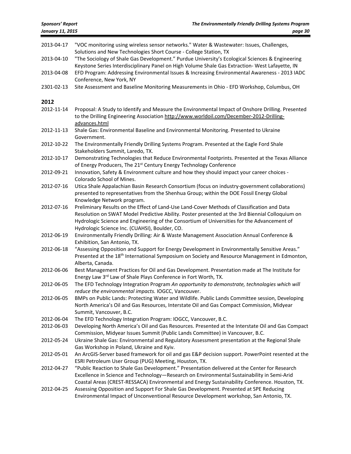| 2013-04-17 | "VOC monitoring using wireless sensor networks." Water & Wastewater: Issues, Challenges,                                                                                                                      |
|------------|---------------------------------------------------------------------------------------------------------------------------------------------------------------------------------------------------------------|
| 2013-04-10 | Solutions and New Technologies Short Course - College Station, TX<br>"The Sociology of Shale Gas Development." Purdue University's Ecological Sciences & Engineering                                          |
|            | Keystone Series Interdisciplinary Panel on High Volume Shale Gas Extraction- West Lafayette, IN                                                                                                               |
| 2013-04-08 | EFD Program: Addressing Environmental Issues & Increasing Environmental Awareness - 2013 IADC                                                                                                                 |
|            | Conference, New York, NY                                                                                                                                                                                      |
| 2301-02-13 | Site Assessment and Baseline Monitoring Measurements in Ohio - EFD Workshop, Columbus, OH                                                                                                                     |
|            |                                                                                                                                                                                                               |
| 2012       |                                                                                                                                                                                                               |
| 2012-11-14 | Proposal: A Study to Identify and Measure the Environmental Impact of Onshore Drilling. Presented<br>to the Drilling Engineering Association http://www.worldoil.com/December-2012-Drilling-<br>advances.html |
| 2012-11-13 | Shale Gas: Environmental Baseline and Environmental Monitoring. Presented to Ukraine<br>Government.                                                                                                           |
| 2012-10-22 | The Environmentally Friendly Drilling Systems Program. Presented at the Eagle Ford Shale<br>Stakeholders Summit, Laredo, TX.                                                                                  |
| 2012-10-17 | Demonstrating Technologies that Reduce Environmental Footprints. Presented at the Texas Alliance                                                                                                              |
|            | of Energy Producers, The 21 <sup>st</sup> Century Energy Technology Conference                                                                                                                                |
| 2012-09-21 | Innovation, Safety & Environment culture and how they should impact your career choices -<br>Colorado School of Mines.                                                                                        |
| 2012-07-16 | Utica Shale Appalachian Basin Research Consortium (focus on industry-government collaborations)                                                                                                               |
|            | presented to representatives from the Shenhua Group; within the DOE Fossil Energy Global<br>Knowledge Network program.                                                                                        |
| 2012-07-16 | Preliminary Results on the Effect of Land-Use Land-Cover Methods of Classification and Data                                                                                                                   |
|            | Resolution on SWAT Model Predictive Ability. Poster presented at the 3rd Biennial Colloquium on                                                                                                               |
|            | Hydrologic Science and Engineering of the Consortium of Universities for the Advancement of                                                                                                                   |
|            | Hydrologic Science Inc. (CUAHSI), Boulder, CO.                                                                                                                                                                |
| 2012-06-19 | Environmentally Friendly Drilling: Air & Waste Management Association Annual Conference &                                                                                                                     |
|            | Exhibition, San Antonio, TX.                                                                                                                                                                                  |
| 2012-06-18 | "Assessing Opposition and Support for Energy Development in Environmentally Sensitive Areas."<br>Presented at the 18 <sup>th</sup> International Symposium on Society and Resource Management in Edmonton,    |
|            | Alberta, Canada.                                                                                                                                                                                              |
| 2012-06-06 | Best Management Practices for Oil and Gas Development. Presentation made at The Institute for<br>Energy Law 3rd Law of Shale Plays Conference in Fort Worth, TX.                                              |
| 2012-06-05 | The EFD Technology Integration Program An opportunity to demonstrate, technologies which will                                                                                                                 |
|            | reduce the environmental impacts. IOGCC, Vancouver.                                                                                                                                                           |
| 2012-06-05 | BMPs on Public Lands: Protecting Water and Wildlife. Public Lands Committee session, Developing                                                                                                               |
|            | North America's Oil and Gas Resources, Interstate Oil and Gas Compact Commission, Midyear<br>Summit, Vancouver, B.C.                                                                                          |
| 2012-06-04 | The EFD Technology Integration Program: IOGCC, Vancouver, B.C.                                                                                                                                                |
| 2012-06-03 | Developing North America's Oil and Gas Resources. Presented at the Interstate Oil and Gas Compact                                                                                                             |
|            | Commission, Midyear Issues Summit (Public Lands Committee) in Vancouver, B.C.                                                                                                                                 |
| 2012-05-24 | Ukraine Shale Gas: Environmental and Regulatory Assessment presentation at the Regional Shale                                                                                                                 |
|            | Gas Workshop in Poland, Ukraine and Kyiv.                                                                                                                                                                     |
| 2012-05-01 | An ArcGIS-Server based framework for oil and gas E&P decision support. PowerPoint resented at the                                                                                                             |
|            | ESRI Petroleum User Group (PUG) Meeting, Houston, TX.                                                                                                                                                         |
| 2012-04-27 | "Public Reaction to Shale Gas Development." Presentation delivered at the Center for Research<br>Excellence in Science and Technology-Research on Environmental Sustainability in Semi-Arid                   |
|            | Coastal Areas (CREST-RESSACA) Environmental and Energy Sustainability Conference. Houston, TX.                                                                                                                |
| 2012-04-25 | Assessing Opposition and Support For Shale Gas Development. Presented at SPE Reducing                                                                                                                         |
|            | Environmental Impact of Unconventional Resource Development workshop, San Antonio, TX.                                                                                                                        |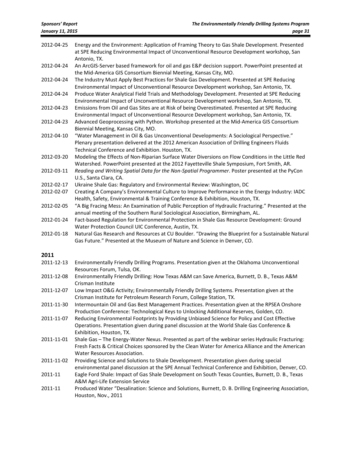| 2012-04-25 | Energy and the Environment: Application of Framing Theory to Gas Shale Development. Presented<br>at SPE Reducing Environmental Impact of Unconventional Resource Development workshop, San<br>Antonio, TX.                                    |
|------------|-----------------------------------------------------------------------------------------------------------------------------------------------------------------------------------------------------------------------------------------------|
| 2012-04-24 | An ArcGIS-Server based framework for oil and gas E&P decision support. PowerPoint presented at<br>the Mid-America GIS Consortium Biennial Meeting, Kansas City, MO.                                                                           |
| 2012-04-24 | The Industry Must Apply Best Practices for Shale Gas Development. Presented at SPE Reducing<br>Environmental Impact of Unconventional Resource Development workshop, San Antonio, TX.                                                         |
| 2012-04-24 | Produce Water Analytical Field Trials and Methodology Development. Presented at SPE Reducing<br>Environmental Impact of Unconventional Resource Development workshop, San Antonio, TX.                                                        |
| 2012-04-23 | Emissions from Oil and Gas Sites are at Risk of being Overestimated. Presented at SPE Reducing<br>Environmental Impact of Unconventional Resource Development workshop, San Antonio, TX.                                                      |
| 2012-04-23 | Advanced Geoprocessing with Python. Workshop presented at the Mid-America GIS Consortium<br>Biennial Meeting, Kansas City, MO.                                                                                                                |
| 2012-04-10 | "Water Management in Oil & Gas Unconventional Developments: A Sociological Perspective."<br>Plenary presentation delivered at the 2012 American Association of Drilling Engineers Fluids<br>Technical Conference and Exhibition. Houston, TX. |
| 2012-03-20 | Modeling the Effects of Non-Riparian Surface Water Diversions on Flow Conditions in the Little Red<br>Watershed. PowerPoint presented at the 2012 Fayetteville Shale Symposium, Fort Smith, AR.                                               |
| 2012-03-11 | Reading and Writing Spatial Data for the Non-Spatial Programmer. Poster presented at the PyCon<br>U.S., Santa Clara, CA.                                                                                                                      |
| 2012-02-17 | Ukraine Shale Gas: Regulatory and Environmental Review: Washington, DC                                                                                                                                                                        |
| 2012-02-07 | Creating A Company's Environmental Culture to Improve Performance in the Energy Industry: IADC<br>Health, Safety, Environmental & Training Conference & Exhibition, Houston, TX.                                                              |
| 2012-02-05 | "A Big Fracing Mess: An Examination of Public Perception of Hydraulic Fracturing." Presented at the<br>annual meeting of the Southern Rural Sociological Association, Birmingham, AL.                                                         |
| 2012-01-24 | Fact-based Regulation for Environmental Protection in Shale Gas Resource Development: Ground<br>Water Protection Council UIC Conference, Austin, TX.                                                                                          |
| 2012-01-18 | Natural Gas Research and Resources at CU Boulder. "Drawing the Blueprint for a Sustainable Natural<br>Gas Future." Presented at the Museum of Nature and Science in Denver, CO.                                                               |
| 2011       |                                                                                                                                                                                                                                               |
| 2011-12-13 | Environmentally Friendly Drilling Programs. Presentation given at the Oklahoma Unconventional<br>Resources Forum, Tulsa, OK.                                                                                                                  |
| 2011-12-08 | Environmentally Friendly Drilling: How Texas A&M can Save America, Burnett, D. B., Texas A&M<br>Crisman Institute                                                                                                                             |
| 2011-12-07 | Low Impact O&G Activity; Environmentally Friendly Drilling Systems. Presentation given at the<br>Crisman Institute for Petroleum Research Forum, College Station, TX.                                                                         |
| 2011-11-30 | Intermountain Oil and Gas Best Management Practices. Presentation given at the RPSEA Onshore<br>Production Conference: Technological Keys to Unlocking Additional Reserves, Golden, CO.                                                       |
| 2011-11-07 | Reducing Environmental Footprints by Providing Unbiased Science for Policy and Cost Effective<br>Operations. Presentation given during panel discussion at the World Shale Gas Conference &<br>Exhibition, Houston, TX.                       |
| 2011-11-01 | Shale Gas - The Energy-Water Nexus. Presented as part of the webinar series Hydraulic Fracturing:<br>Fresh Facts & Critical Choices sponsored by the Clean Water for America Alliance and the American<br>Water Resources Association.        |
| 2011-11-02 | Providing Science and Solutions to Shale Development. Presentation given during special<br>environmental panel discussion at the SPE Annual Technical Conference and Exhibition, Denver, CO.                                                  |
| 2011-11    | Eagle Ford Shale: Impact of Gas Shale Development on South Texas Counties, Burnett, D. B., Texas<br>A&M Agri-Life Extension Service                                                                                                           |

2011‐11 Produced Water "Desalination: Science and Solutions, Burnett, D. B. Drilling Engineering Association, Houston, Nov., 2011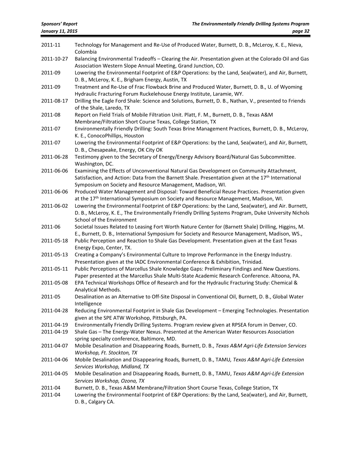| 2011-11    | Technology for Management and Re-Use of Produced Water, Burnett, D. B., McLeroy, K. E., Nieva,<br>Colombia                                                                                                                                                    |
|------------|---------------------------------------------------------------------------------------------------------------------------------------------------------------------------------------------------------------------------------------------------------------|
| 2011-10-27 | Balancing Environmental Tradeoffs - Clearing the Air. Presentation given at the Colorado Oil and Gas<br>Association Western Slope Annual Meeting, Grand Junction, CO.                                                                                         |
| 2011-09    | Lowering the Environmental Footprint of E&P Operations: by the Land, Sea(water), and Air, Burnett,<br>D. B., McLeroy, K. E., Brigham Energy, Austin, TX                                                                                                       |
| 2011-09    | Treatment and Re-Use of Frac Flowback Brine and Produced Water, Burnett, D. B., U. of Wyoming<br>Hydraulic Fracturing Forum Ruckelehouse Energy Institute, Laramie, WY.                                                                                       |
| 2011-08-17 | Drilling the Eagle Ford Shale: Science and Solutions, Burnett, D. B., Nathan, V., presented to Friends<br>of the Shale, Laredo, TX                                                                                                                            |
| 2011-08    | Report on Field Trials of Mobile Filtration Unit. Platt, F. M., Burnett, D. B., Texas A&M<br>Membrane/Filtration Short Course Texas, College Station, TX                                                                                                      |
| 2011-07    | Environmentally Friendly Drilling: South Texas Brine Management Practices, Burnett, D. B., McLeroy,<br>K. E., ConocoPhillips, Houston                                                                                                                         |
| 2011-07    | Lowering the Environmental Footprint of E&P Operations: by the Land, Sea(water), and Air, Burnett,<br>D. B., Chesapeake, Energy, OK City OK                                                                                                                   |
| 2011-06-28 | Testimony given to the Secretary of Energy/Energy Advisory Board/Natural Gas Subcommittee.<br>Washington, DC.                                                                                                                                                 |
| 2011-06-06 | Examining the Effects of Unconventional Natural Gas Development on Community Attachment,<br>Satisfaction, and Action: Data from the Barnett Shale. Presentation given at the 17th International<br>Symposium on Society and Resource Management, Madison, WI. |
| 2011-06-06 | Produced Water Management and Disposal: Toward Beneficial Reuse Practices. Presentation given<br>at the 17 <sup>th</sup> International Symposium on Society and Resource Management, Madison, WI.                                                             |
| 2011-06-02 | Lowering the Environmental Footprint of E&P Operations: by the Land, Sea(water), and Air. Burnett,<br>D. B., McLeroy, K. E., The Environmentally Friendly Drilling Systems Program, Duke University Nichols<br>School of the Environment                      |
| 2011-06    | Societal Issues Related to Leasing Fort Worth Nature Center for (Barnett Shale) Drilling, Higgins, M.<br>E., Burnett, D. B., International Symposium for Society and Resource Management, Madison, WS.,                                                       |
| 2011-05-18 | Public Perception and Reaction to Shale Gas Development. Presentation given at the East Texas<br>Energy Expo, Center, TX.                                                                                                                                     |
| 2011-05-13 | Creating a Company's Environmental Culture to Improve Performance in the Energy Industry.<br>Presentation given at the IADC Environmental Conference & Exhibition, Trinidad.                                                                                  |
| 2011-05-11 | Public Perceptions of Marcellus Shale Knowledge Gaps: Preliminary Findings and New Questions.<br>Paper presented at the Marcellus Shale Multi-State Academic Research Conference. Altoona, PA.                                                                |
| 2011-05-08 | EPA Technical Workshops Office of Research and for the Hydraulic Fracturing Study: Chemical &<br>Analytical Methods.                                                                                                                                          |
| 2011-05    | Desalination as an Alternative to Off-Site Disposal in Conventional Oil, Burnett, D. B., Global Water<br>Intelligence                                                                                                                                         |
| 2011-04-28 | Reducing Environmental Footprint in Shale Gas Development - Emerging Technologies. Presentation<br>given at the SPE ATW Workshop, Pittsburgh, PA.                                                                                                             |
| 2011-04-19 | Environmentally Friendly Drilling Systems. Program review given at RPSEA forum in Denver, CO.                                                                                                                                                                 |
| 2011-04-19 | Shale Gas - The Energy-Water Nexus. Presented at the American Water Resources Association<br>spring specialty conference, Baltimore, MD.                                                                                                                      |
| 2011-04-07 | Mobile Desalination and Disappearing Roads, Burnett, D. B., Texas A&M Agri-Life Extension Services<br>Workshop, Ft. Stockton, TX                                                                                                                              |
| 2011-04-06 | Mobile Desalination and Disappearing Roads, Burnett, D. B., TAMU, Texas A&M Agri-Life Extension<br>Services Workshop, Midland, TX                                                                                                                             |
| 2011-04-05 | Mobile Desalination and Disappearing Roads, Burnett, D. B., TAMU, Texas A&M Agri-Life Extension<br>Services Workshop, Ozona, TX                                                                                                                               |
| 2011-04    | Burnett, D. B., Texas A&M Membrane/Filtration Short Course Texas, College Station, TX                                                                                                                                                                         |
| 2011-04    | Lowering the Environmental Footprint of E&P Operations: By the Land, Sea(water), and Air, Burnett,<br>D. B., Calgary CA.                                                                                                                                      |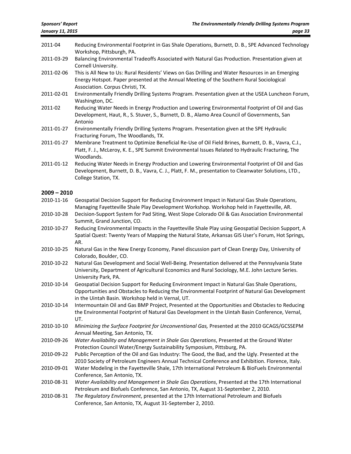| <b>Sponsors' Report</b><br>The Environmentally Friendly Drilling Systems Program<br><b>January 11, 2015</b> |                                                                                                                                                                                                                                                     |
|-------------------------------------------------------------------------------------------------------------|-----------------------------------------------------------------------------------------------------------------------------------------------------------------------------------------------------------------------------------------------------|
| 2011-04                                                                                                     | Reducing Environmental Footprint in Gas Shale Operations, Burnett, D. B., SPE Advanced Technology                                                                                                                                                   |
| 2011-03-29                                                                                                  | Workshop, Pittsburgh, PA.<br>Balancing Environmental Tradeoffs Associated with Natural Gas Production. Presentation given at<br>Cornell University.                                                                                                 |
| 2011-02-06                                                                                                  | This is All New to Us: Rural Residents' Views on Gas Drilling and Water Resources in an Emerging<br>Energy Hotspot. Paper presented at the Annual Meeting of the Southern Rural Sociological<br>Association. Corpus Christi, TX.                    |
| 2011-02-01                                                                                                  | Environmentally Friendly Drilling Systems Program. Presentation given at the USEA Luncheon Forum,<br>Washington, DC.                                                                                                                                |
| 2011-02                                                                                                     | Reducing Water Needs in Energy Production and Lowering Environmental Footprint of Oil and Gas<br>Development, Haut, R., S. Stuver, S., Burnett, D. B., Alamo Area Council of Governments, San<br>Antonio                                            |
| 2011-01-27                                                                                                  | Environmentally Friendly Drilling Systems Program. Presentation given at the SPE Hydraulic<br>Fracturing Forum, The Woodlands, TX.                                                                                                                  |
| 2011-01-27                                                                                                  | Membrane Treatment to Optimize Beneficial Re-Use of Oil Field Brines, Burnett, D. B., Vavra, C.J.,<br>Platt, F. J., McLeroy, K. E., SPE Summit Environmental Issues Related to Hydraulic Fracturing, The<br>Woodlands.                              |
| 2011-01-12                                                                                                  | Reducing Water Needs in Energy Production and Lowering Environmental Footprint of Oil and Gas<br>Development, Burnett, D. B., Vavra, C. J., Platt, F. M., presentation to Cleanwater Solutions, LTD.,<br>College Station, TX.                       |
| $2009 - 2010$                                                                                               |                                                                                                                                                                                                                                                     |
| 2010-11-16                                                                                                  | Geospatial Decision Support for Reducing Environment Impact in Natural Gas Shale Operations,<br>Managing Fayetteville Shale Play Development Workshop. Workshop held in Fayetteville, AR.                                                           |
| 2010-10-28                                                                                                  | Decision-Support System for Pad Siting, West Slope Colorado Oil & Gas Association Environmental<br>Summit, Grand Junction, CO.                                                                                                                      |
| 2010-10-27                                                                                                  | Reducing Environmental Impacts in the Fayetteville Shale Play using Geospatial Decision Support, A<br>Spatial Quest: Twenty Years of Mapping the Natural State, Arkansas GIS User's Forum, Hot Springs,<br>AR.                                      |
| 2010-10-25                                                                                                  | Natural Gas in the New Energy Economy, Panel discussion part of Clean Energy Day, University of<br>Colorado, Boulder, CO.                                                                                                                           |
| 2010-10-22                                                                                                  | Natural Gas Development and Social Well-Being. Presentation delivered at the Pennsylvania State<br>University, Department of Agricultural Economics and Rural Sociology, M.E. John Lecture Series.<br>University Park, PA.                          |
| 2010-10-14                                                                                                  | Geospatial Decision Support for Reducing Environment Impact in Natural Gas Shale Operations,<br>Opportunities and Obstacles to Reducing the Environmental Footprint of Natural Gas Development<br>in the Uintah Basin. Workshop held in Vernal, UT. |
| 2010-10-14                                                                                                  | Intermountain Oil and Gas BMP Project, Presented at the Opportunities and Obstacles to Reducing<br>the Environmental Footprint of Natural Gas Development in the Uintah Basin Conference, Vernal,<br>UT.                                            |
| 2010-10-10                                                                                                  | Minimizing the Surface Footprint for Unconventional Gas, Presented at the 2010 GCAGS/GCSSEPM<br>Annual Meeting, San Antonio, TX.                                                                                                                    |
| 2010-09-26                                                                                                  | Water Availability and Management in Shale Gas Operations, Presented at the Ground Water<br>Protection Council Water/Energy Sustainability Symposium, Pittsburg, PA.                                                                                |
| 2010-09-22                                                                                                  | Public Perception of the Oil and Gas Industry: The Good, the Bad, and the Ugly. Presented at the<br>2010 Society of Petroleum Engineers Annual Technical Conference and Exhibition. Florence, Italy.                                                |
| 2010-09-01                                                                                                  | Water Modeling in the Fayetteville Shale, 17th International Petroleum & BioFuels Environmental<br>Conference, San Antonio, TX.                                                                                                                     |
| 2010-08-31                                                                                                  | Water Availability and Management in Shale Gas Operations, Presented at the 17th International<br>Petroleum and Biofuels Conference, San Antonio, TX, August 31-September 2, 2010.                                                                  |
| 2010-08-31                                                                                                  | The Regulatory Environment, presented at the 17th International Petroleum and Biofuels<br>Conference, San Antonio, TX, August 31-September 2, 2010.                                                                                                 |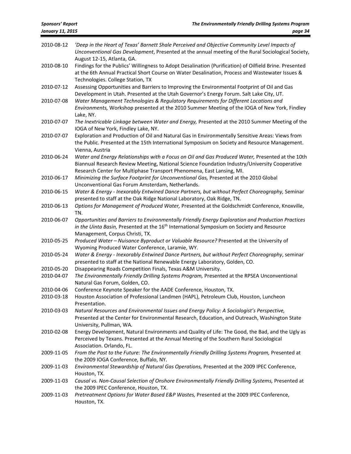| <b>Sponsors' Report</b><br><b>January 11, 2015</b> | The Environmentally Friendly Drilling Systems Program<br>page 34                                                                                                                                                                                                           |
|----------------------------------------------------|----------------------------------------------------------------------------------------------------------------------------------------------------------------------------------------------------------------------------------------------------------------------------|
| 2010-08-12                                         | 'Deep in the Heart of Texas' Barnett Shale Perceived and Objective Community Level Impacts of<br>Unconventional Gas Development, Presented at the annual meeting of the Rural Sociological Society,<br>August 12-15, Atlanta, GA.                                          |
| 2010-08-10                                         | Findings for the Publics' Willingness to Adopt Desalination (Purification) of Oilfield Brine. Presented<br>at the 6th Annual Practical Short Course on Water Desalination, Process and Wastewater Issues &<br>Technologies. College Station, TX                            |
| 2010-07-12                                         | Assessing Opportunities and Barriers to Improving the Environmental Footprint of Oil and Gas<br>Development in Utah. Presented at the Utah Governor's Energy Forum. Salt Lake City, UT.                                                                                    |
| 2010-07-08                                         | Water Management Technologies & Regulatory Requirements for Different Locations and<br>Environments, Workshop presented at the 2010 Summer Meeting of the IOGA of New York, Findley<br>Lake, NY.                                                                           |
| 2010-07-07                                         | The Inextricable Linkage between Water and Energy, Presented at the 2010 Summer Meeting of the<br>IOGA of New York, Findley Lake, NY.                                                                                                                                      |
| 2010-07-07                                         | Exploration and Production of Oil and Natural Gas in Environmentally Sensitive Areas: Views from<br>the Public. Presented at the 15th International Symposium on Society and Resource Management.<br>Vienna, Austria                                                       |
| 2010-06-24                                         | Water and Energy Relationships with a Focus on Oil and Gas Produced Water, Presented at the 10th<br>Biannual Research Review Meeting, National Science Foundation Industry/University Cooperative<br>Research Center for Multiphase Transport Phenomena, East Lansing, MI. |
| 2010-06-17                                         | Minimizing the Surface Footprint for Unconventional Gas, Presented at the 2010 Global<br>Unconventional Gas Forum Amsterdam, Netherlands.                                                                                                                                  |
| 2010-06-15                                         | Water & Energy - Inexorably Entwined Dance Partners, but without Perfect Choreography, Seminar<br>presented to staff at the Oak Ridge National Laboratory, Oak Ridge, TN.                                                                                                  |
| 2010-06-13                                         | Options for Management of Produced Water, Presented at the Goldschmidt Conference, Knoxville,<br>TN.                                                                                                                                                                       |
| 2010-06-07                                         | Opportunities and Barriers to Environmentally Friendly Energy Exploration and Production Practices<br>in the Uinta Basin, Presented at the 16 <sup>th</sup> International Symposium on Society and Resource<br>Management, Corpus Christi, TX.                             |
| 2010-05-25                                         | Produced Water - Nuisance Byproduct or Valuable Resource? Presented at the University of<br>Wyoming Produced Water Conference, Laramie, WY.                                                                                                                                |
| 2010-05-24                                         | Water & Energy - Inexorably Entwined Dance Partners, but without Perfect Choreography, seminar<br>presented to staff at the National Renewable Energy Laboratory, Golden, CO.                                                                                              |
| 2010-05-20<br>2010-04-07                           | Disappearing Roads Competition Finals, Texas A&M University.<br>The Environmentally Friendly Drilling Systems Program, Presented at the RPSEA Unconventional<br>Natural Gas Forum, Golden, CO.                                                                             |
| 2010-04-06<br>2010-03-18                           | Conference Keynote Speaker for the AADE Conference, Houston, TX.<br>Houston Association of Professional Landmen (HAPL), Petroleum Club, Houston, Luncheon                                                                                                                  |
|                                                    | Presentation.                                                                                                                                                                                                                                                              |
| 2010-03-03                                         | Natural Resources and Environmental Issues and Energy Policy: A Sociologist's Perspective,<br>Presented at the Center for Environmental Research, Education, and Outreach, Washington State<br>University, Pullman, WA.                                                    |
| 2010-02-08                                         | Energy Development, Natural Environments and Quality of Life: The Good, the Bad, and the Ugly as<br>Perceived by Texans. Presented at the Annual Meeting of the Southern Rural Sociological<br>Association. Orlando, FL.                                                   |
| 2009-11-05                                         | From the Past to the Future: The Environmentally Friendly Drilling Systems Program, Presented at<br>the 2009 IOGA Conference, Buffalo, NY.                                                                                                                                 |
| 2009-11-03                                         | Environmental Stewardship of Natural Gas Operations, Presented at the 2009 IPEC Conference,<br>Houston, TX.                                                                                                                                                                |
| 2009-11-03                                         | Causal vs. Non-Causal Selection of Onshore Environmentally Friendly Drilling Systems, Presented at<br>the 2009 IPEC Conference, Houston, TX.                                                                                                                               |
| 2009-11-03                                         | Pretreatment Options for Water Based E&P Wastes, Presented at the 2009 IPEC Conference,<br>Houston, TX.                                                                                                                                                                    |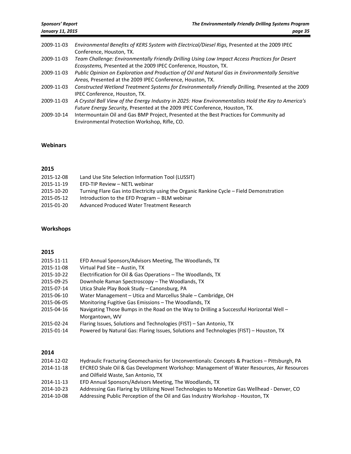| 2009-11-03 | Environmental Benefits of KERS System with Electrical/Diesel Rigs, Presented at the 2009 IPEC       |
|------------|-----------------------------------------------------------------------------------------------------|
|            | Conference, Houston, TX.                                                                            |
| 2009-11-03 | Team Challenge: Environmentally Friendly Drilling Using Low Impact Access Practices for Desert      |
|            | Ecosystems, Presented at the 2009 IPEC Conference, Houston, TX.                                     |
| 2009-11-03 | Public Opinion on Exploration and Production of Oil and Natural Gas in Environmentally Sensitive    |
|            | Areas, Presented at the 2009 IPEC Conference, Houston, TX.                                          |
| 2009-11-03 | Constructed Wetland Treatment Systems for Environmentally Friendly Drilling, Presented at the 2009  |
|            | IPEC Conference, Houston, TX.                                                                       |
| 2009-11-03 | A Crystal Ball View of the Energy Industry in 2025: How Environmentalists Hold the Key to America's |
|            | Future Energy Security, Presented at the 2009 IPEC Conference, Houston, TX.                         |
| 2009-10-14 | Intermountain Oil and Gas BMP Project, Presented at the Best Practices for Community ad             |
|            | Environmental Protection Workshop, Rifle, CO.                                                       |

# **Webinars**

# 

| 2015-12-08 | Land Use Site Selection Information Tool (LUSSIT)                                        |
|------------|------------------------------------------------------------------------------------------|
| 2015-11-19 | EFD-TIP Review – NETL webinar                                                            |
| 2015-10-20 | Turning Flare Gas into Electricity using the Organic Rankine Cycle – Field Demonstration |
| 2015-05-12 | Introduction to the EFD Program – BLM webinar                                            |
| 2015-01-20 | Advanced Produced Water Treatment Research                                               |
|            |                                                                                          |

# **Workshops**

# 

| 2015-11-11 | EFD Annual Sponsors/Advisors Meeting, The Woodlands, TX                                    |
|------------|--------------------------------------------------------------------------------------------|
| 2015-11-08 | Virtual Pad Site - Austin, TX                                                              |
| 2015-10-22 | Electrification for Oil & Gas Operations – The Woodlands, TX                               |
| 2015-09-25 | Downhole Raman Spectroscopy - The Woodlands, TX                                            |
| 2015-07-14 | Utica Shale Play Book Study - Canonsburg, PA                                               |
| 2015-06-10 | Water Management – Utica and Marcellus Shale – Cambridge, OH                               |
| 2015-06-05 | Monitoring Fugitive Gas Emissions – The Woodlands, TX                                      |
| 2015-04-16 | Navigating Those Bumps in the Road on the Way to Drilling a Successful Horizontal Well $-$ |
|            | Morgantown, WV                                                                             |
| 2015-02-24 | Flaring Issues, Solutions and Technologies (FIST) - San Antonio, TX                        |
| 2015-01-14 | Powered by Natural Gas: Flaring Issues, Solutions and Technologies (FIST) – Houston, TX    |

| 2014-12-02 | Hydraulic Fracturing Geomechanics for Unconventionals: Concepts & Practices - Pittsburgh, PA |
|------------|----------------------------------------------------------------------------------------------|
| 2014-11-18 | EFCREO Shale Oil & Gas Development Workshop: Management of Water Resources, Air Resources    |
|            | and Oilfield Waste, San Antonio, TX                                                          |
| 2014-11-13 | EFD Annual Sponsors/Advisors Meeting, The Woodlands, TX                                      |
| 2014-10-23 | Addressing Gas Flaring by Utilizing Novel Technologies to Monetize Gas Wellhead - Denver, CO |
| 2014-10-08 | Addressing Public Perception of the Oil and Gas Industry Workshop - Houston, TX              |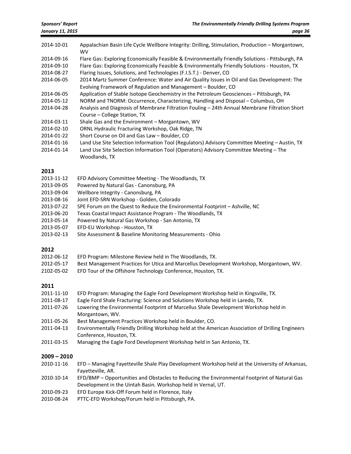| 2014-10-01 | Appalachian Basin Life Cycle Wellbore Integrity: Drilling, Stimulation, Production - Morgantown,<br><b>WV</b> |
|------------|---------------------------------------------------------------------------------------------------------------|
| 2014-09-16 | Flare Gas: Exploring Economically Feasible & Environmentally Friendly Solutions - Pittsburgh, PA              |
| 2014-09-10 | Flare Gas: Exploring Economically Feasible & Environmentally Friendly Solutions - Houston, TX                 |
| 2014-08-27 | Flaring Issues, Solutions, and Technologies (F.I.S.T.) - Denver, CO                                           |
| 2014-06-05 | 2014 Martz Summer Conference: Water and Air Quality Issues in Oil and Gas Development: The                    |
|            | Evolving Framework of Regulation and Management – Boulder, CO                                                 |
| 2014-06-05 | Application of Stable Isotope Geochemistry in the Petroleum Geosciences - Pittsburgh, PA                      |
| 2014-05-12 | NORM and TNORM: Occurrence, Characterizing, Handling and Disposal – Columbus, OH                              |
| 2014-04-28 | Analysis and Diagnosis of Membrane Filtration Fouling - 24th Annual Membrane Filtration Short                 |
|            | Course – College Station, TX                                                                                  |
| 2014-03-11 | Shale Gas and the Environment - Morgantown, WV                                                                |
| 2014-02-10 | ORNL Hydraulic Fracturing Workshop, Oak Ridge, TN                                                             |
| 2014-01-22 | Short Course on Oil and Gas Law - Boulder, CO                                                                 |
| 2014-01-16 | Land Use Site Selection Information Tool (Regulators) Advisory Committee Meeting - Austin, TX                 |
| 2014-01-14 | Land Use Site Selection Information Tool (Operators) Advisory Committee Meeting - The                         |
|            | Woodlands, TX                                                                                                 |

# 

| 2013-11-12 | EFD Advisory Committee Meeting - The Woodlands, TX |
|------------|----------------------------------------------------|
|------------|----------------------------------------------------|

- ‐09‐05 Powered by Natural Gas ‐ Canonsburg, PA
- ‐09‐04 Wellbore Integrity ‐ Canonsburg, PA
- ‐08‐16 Joint EFD‐SRN Workshop ‐ Golden, Colorado
- 2013-07-22 SPE Forum on the Quest to Reduce the Environmental Footprint Ashville, NC
- ‐06‐20 Texas Coastal Impact Assistance Program ‐ The Woodlands, TX
- ‐05‐14 Powered by Natural Gas Workshop ‐ San Antonio, TX
- ‐05‐07 EFD‐EU Workshop ‐ Houston, TX
- 2013-02-13 Site Assessment & Baseline Monitoring Measurements Ohio

# 

| 2012-06-12 | EFD Program: Milestone Review held in The Woodlands, TX. |
|------------|----------------------------------------------------------|
|------------|----------------------------------------------------------|

- ‐05‐17 Best Management Practices for Utica and Marcellus Development Workshop, Morgantown, WV.
- ‐05‐02 EFD Tour of the Offshore Technology Conference, Houston, TX.

# 

| 2011-11-10 | EFD Program: Managing the Eagle Ford Development Workshop held in Kingsville, TX.                 |
|------------|---------------------------------------------------------------------------------------------------|
| 2011-08-17 | Eagle Ford Shale Fracturing: Science and Solutions Workshop held in Laredo, TX.                   |
| 2011-07-26 | Lowering the Environmental Footprint of Marcellus Shale Development Workshop held in              |
|            | Morgantown, WV.                                                                                   |
| 2011-05-26 | Best Management Practices Workshop held in Boulder, CO.                                           |
| 2011-04-13 | Environmentally Friendly Drilling Workshop held at the American Association of Drilling Engineers |
|            | Conference, Houston, TX.                                                                          |
| 2011-03-15 | Managing the Eagle Ford Development Workshop held in San Antonio, TX.                             |

# **– 2010**

- 2010-11-16 EFD Managing Fayetteville Shale Play Development Workshop held at the University of Arkansas, Fayetteville, AR.
- 2010-10-14 EFD/BMP Opportunities and Obstacles to Reducing the Environmental Footprint of Natural Gas Development in the Uintah Basin. Workshop held in Vernal, UT.
- ‐09‐23 EFD Europe Kick‐Off Forum held in Florence, Italy
- ‐08‐24 PTTC‐EFD Workshop/Forum held in Pittsburgh, PA.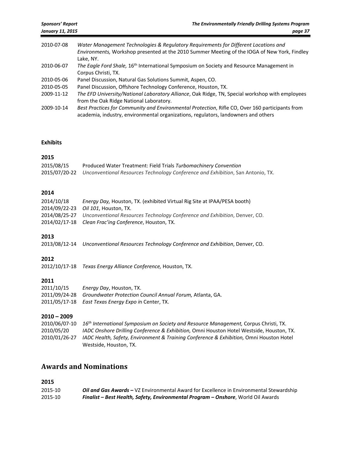| Water Management Technologies & Regulatory Requirements for Different Locations and                  |
|------------------------------------------------------------------------------------------------------|
| Environments, Workshop presented at the 2010 Summer Meeting of the IOGA of New York, Findley         |
| Lake, NY.                                                                                            |
| The Eagle Ford Shale, 16 <sup>th</sup> International Symposium on Society and Resource Management in |
| Corpus Christi, TX.                                                                                  |
| Panel Discussion, Natural Gas Solutions Summit, Aspen, CO.                                           |
| Panel Discussion, Offshore Technology Conference, Houston, TX.                                       |
| The EFD University/National Laboratory Alliance, Oak Ridge, TN, Special workshop with employees      |
| from the Oak Ridge National Laboratory.                                                              |
| Best Practices for Community and Environmental Protection, Rifle CO, Over 160 participants from      |
| academia, industry, environmental organizations, regulators, landowners and others                   |
|                                                                                                      |

# **Exhibits**

# **2015**

| 2015/08/15 | Produced Water Treatment: Field Trials Turbomachinery Convention                              |
|------------|-----------------------------------------------------------------------------------------------|
|            | 2015/07/20-22 Unconventional Resources Technology Conference and Exhibition, San Antonio, TX. |

# **2014**

| 2014/10/18 | <i>Energy Day, Houston, TX. (exhibited Virtual Rig Site at IPAA/PESA booth)</i>          |
|------------|------------------------------------------------------------------------------------------|
|            | 2014/09/22-23 Oil 101. Houston, TX.                                                      |
|            | 2014/08/25-27 Unconventional Resources Technology Conference and Exhibition, Denver, CO. |
|            | 2014/02/17-18 Clean Frac'ing Conference, Houston, TX.                                    |

# **2013**

2013/08/12‐14 *Unconventional Resources Technology Conference and Exhibition*, Denver, CO.

# **2012**

2012/10/17‐18 *Texas Energy Alliance Conference,* Houston, TX.

# **2011**

| 2011/10/15 | <i>Energy Day, Houston, TX.</i>                                         |
|------------|-------------------------------------------------------------------------|
|            | 2011/09/24-28 Groundwater Protection Council Annual Forum, Atlanta, GA. |
|            | 2011/05/17-18 East Texas Energy Expo in Center, TX.                     |

# **2010 – 2009**

|            | 2010/06/07-10 16 <sup>th</sup> International Symposium on Society and Resource Management, Corpus Christi, TX. |
|------------|----------------------------------------------------------------------------------------------------------------|
| 2010/05/20 | <i>IADC Onshore Drilling Conference &amp; Exhibition, Omni Houston Hotel Westside, Houston, TX.</i>            |
|            | 2010/01/26-27 IADC Health, Safety, Environment & Training Conference & Exhibition, Omni Houston Hotel          |
|            | Westside. Houston. TX.                                                                                         |

# **Awards and Nominations**

| 2015-10 | <b>Oil and Gas Awards - VZ Environmental Award for Excellence in Environmental Stewardship</b> |
|---------|------------------------------------------------------------------------------------------------|
| 2015-10 | Finalist - Best Health, Safety, Environmental Program - Onshore, World Oil Awards              |